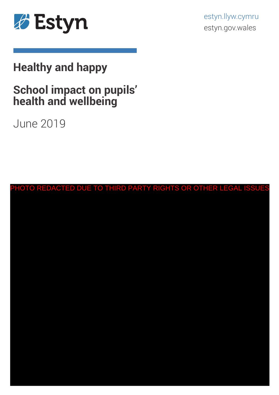

estyn.llyw.cymru estyn.gov.wales

# **Healthy and happy**

# **School impact on pupils' health and wellbeing**

June 2019

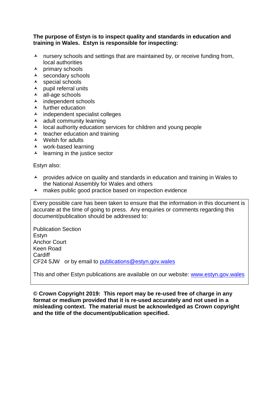#### **The purpose of Estyn is to inspect quality and standards in education and training in Wales. Estyn is responsible for inspecting:**

- $\lambda$  nursery schools and settings that are maintained by, or receive funding from, local authorities
- $\lambda$  primary schools
- $\lambda$  secondary schools
- $\lambda$  special schools
- $\lambda$  pupil referral units
- all-age schools
- $\lambda$  independent schools
- $\lambda$  further education
- $\lambda$  independent specialist colleges
- $\lambda$  adult community learning
- $\lambda$  local authority education services for children and young people
- $\lambda$  teacher education and training
- Welsh for adults
- work-based learning
- $\lambda$  learning in the justice sector

Estyn also:

- $\lambda$  provides advice on quality and standards in education and training in Wales to the National Assembly for Wales and others
- $\lambda$  makes public good practice based on inspection evidence

Every possible care has been taken to ensure that the information in this document is accurate at the time of going to press. Any enquiries or comments regarding this document/publication should be addressed to:

Publication Section **Estvn** Anchor Court Keen Road **Cardiff** CF24 5JW or by email to [publications@estyn.gov.wales](mailto:publications@estyn.gov.wales)

This and other Estyn publications are available on our website: [www.estyn.gov.wales](http://www.estyn.gov.wales/)

**© Crown Copyright 2019: This report may be re-used free of charge in any format or medium provided that it is re-used accurately and not used in a misleading context. The material must be acknowledged as Crown copyright and the title of the document/publication specified.**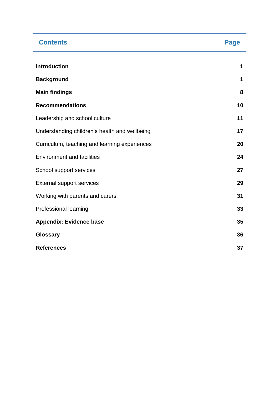| <b>Contents</b>                               | <b>Page</b> |
|-----------------------------------------------|-------------|
| <b>Introduction</b>                           | 1           |
| <b>Background</b>                             | 1           |
| <b>Main findings</b>                          | 8           |
| <b>Recommendations</b>                        | 10          |
| Leadership and school culture                 | 11          |
| Understanding children's health and wellbeing | 17          |
| Curriculum, teaching and learning experiences | 20          |
| <b>Environment and facilities</b>             | 24          |
| School support services                       | 27          |
| <b>External support services</b>              | 29          |
| Working with parents and carers               | 31          |
| Professional learning                         | 33          |
| <b>Appendix: Evidence base</b>                | 35          |
| <b>Glossary</b>                               | 36          |
| <b>References</b>                             | 37          |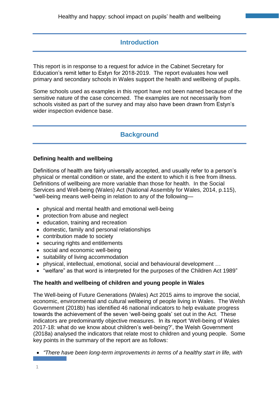# **Introduction**

This report is in response to a request for advice in the Cabinet Secretary for Education's remit letter to Estyn for 2018-2019. The report evaluates how well primary and secondary schools in Wales support the health and wellbeing of pupils.

Some schools used as examples in this report have not been named because of the sensitive nature of the case concerned. The examples are not necessarily from schools visited as part of the survey and may also have been drawn from Estyn's wider inspection evidence base.

# **Background**

## **Defining health and wellbeing**

Definitions of health are fairly universally accepted, and usually refer to a person's physical or mental condition or state, and the extent to which it is free from illness. Definitions of wellbeing are more variable than those for health. In the Social Services and Well-being (Wales) Act (National Assembly for Wales, 2014, p.115), "well-being means well-being in relation to any of the following—

- physical and mental health and emotional well-being
- protection from abuse and neglect
- education, training and recreation
- domestic, family and personal relationships
- contribution made to society
- securing rights and entitlements
- social and economic well-being
- suitability of living accommodation
- physical, intellectual, emotional, social and behavioural development …
- "welfare" as that word is interpreted for the purposes of the Children Act 1989"

## **The health and wellbeing of children and young people in Wales**

The Well-being of Future Generations (Wales) Act 2015 aims to improve the social, economic, environmental and cultural wellbeing of people living in Wales. The Welsh Government (2018b) has identified 46 national indicators to help evaluate progress towards the achievement of the seven 'well-being goals' set out in the Act. These indicators are predominantly objective measures. In its report 'Well-being of Wales 2017-18: what do we know about children's well-being?', the Welsh Government (2018a) analysed the indicators that relate most to children and young people. Some key points in the summary of the report are as follows:

*"There have been long-term improvements in terms of a healthy start in life, with*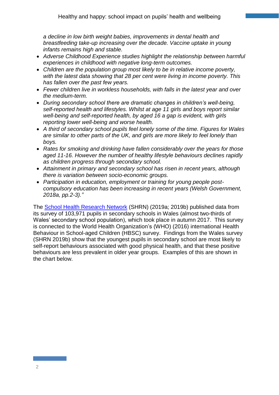*a decline in low birth weight babies, improvements in dental health and breastfeeding take-up increasing over the decade. Vaccine uptake in young infants remains high and stable.*

- *Adverse Childhood Experience studies highlight the relationship between harmful experiences in childhood with negative long-term outcomes.*
- *Children are the population group most likely to be in relative income poverty, with the latest data showing that 28 per cent were living in income poverty. This has fallen over the past few years.*
- *Fewer children live in workless households, with falls in the latest year and over the medium-term.*
- *During secondary school there are dramatic changes in children's well-being, self-reported health and lifestyles. Whilst at age 11 girls and boys report similar well-being and self-reported health, by aged 16 a gap is evident, with girls reporting lower well-being and worse health.*
- *A third of secondary school pupils feel lonely some of the time. Figures for Wales are similar to other parts of the UK, and girls are more likely to feel lonely than boys.*
- *Rates for smoking and drinking have fallen considerably over the years for those aged 11-16. However the number of healthy lifestyle behaviours declines rapidly as children progress through secondary school.*
- *Attainment in primary and secondary school has risen in recent years, although there is variation between socio-economic groups.*
- *Participation in education, employment or training for young people postcompulsory education has been increasing in recent years (Welsh Government, 2018a, pp.2-3)."*

The [School Health Research Network](http://www.shrn.org.uk/) (SHRN) (2019a; 2019b) published data from its survey of 103,971 pupils in secondary schools in Wales (almost two-thirds of Wales' secondary school population), which took place in autumn 2017. This survey is connected to the World Health Organization's (WHO) (2016) international Health Behaviour in School-aged Children (HBSC) survey. Findings from the Wales survey (SHRN 2019b) show that the youngest pupils in secondary school are most likely to self-report behaviours associated with good physical health, and that these positive behaviours are less prevalent in older year groups. Examples of this are shown in the chart below.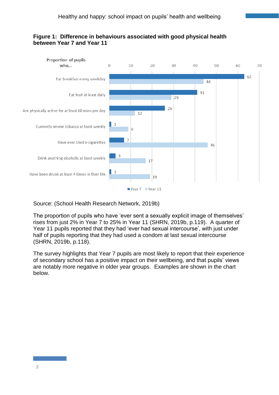### **Figure 1: Difference in behaviours associated with good physical health between Year 7 and Year 11**



## Source: (School Health Research Network, 2019b)

The proportion of pupils who have 'ever sent a sexually explicit image of themselves' rises from just 2% in Year 7 to 25% in Year 11 (SHRN, 2019b, p.119). A quarter of Year 11 pupils reported that they had 'ever had sexual intercourse', with just under half of pupils reporting that they had used a condom at last sexual intercourse (SHRN, 2019b, p.118).

The survey highlights that Year 7 pupils are most likely to report that their experience of secondary school has a positive impact on their wellbeing, and that pupils' views are notably more negative in older year groups. Examples are shown in the chart below.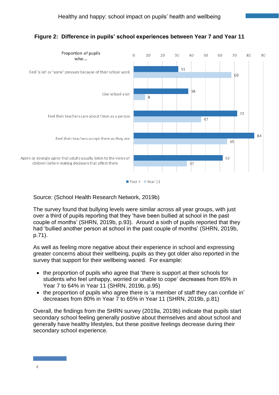

# **Figure 2: Difference in pupils' school experiences between Year 7 and Year 11**

### Source: (School Health Research Network, 2019b)

The survey found that bullying levels were similar across all year groups, with just over a third of pupils reporting that they 'have been bullied at school in the past couple of months' (SHRN, 2019b, p.93). Around a sixth of pupils reported that they had 'bullied another person at school in the past couple of months' (SHRN, 2019b, p.71).

As well as feeling more negative about their experience in school and expressing greater concerns about their wellbeing, pupils as they got older also reported in the survey that support for their wellbeing waned. For example:

- the proportion of pupils who agree that 'there is support at their schools for students who feel unhappy, worried or unable to cope' decreases from 85% in Year 7 to 64% in Year 11 (SHRN, 2019b, p.95)
- the proportion of pupils who agree there is 'a member of staff they can confide in' decreases from 80% in Year 7 to 65% in Year 11 (SHRN, 2019b, p.81)

Overall, the findings from the SHRN survey (2019a, 2019b) indicate that pupils start secondary school feeling generally positive about themselves and about school and generally have healthy lifestyles, but these positive feelings decrease during their secondary school experience.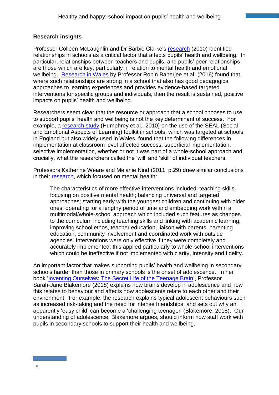## **Research insights**

Professor Colleen McLaughlin and Dr Barbie Clarke's [research](https://www.nuffieldfoundation.org/sites/default/files/McLaughlin%20%20Clarke%20-%20relational%20matters%202010.pdf) (2010) identified relationships in schools as a critical factor that affects pupils' health and wellbeing. In particular, relationships between teachers and pupils, and pupils' peer relationships, are those which are key, particularly in relation to mental health and emotional wellbeing. [Research in Wales](http://ppiw.org.uk/files/2016/02/PPIW-Report-Promoting-Emotional-Health-Well-being-and-Resilience-in-Primary-Schools-Final.pdf) by Professor Robin Banerjee et al. (2016) found that, where such relationships are strong in a school that also has good pedagogical approaches to learning experiences and provides evidence-based targeted interventions for specific groups and individuals, then the result is sustained, positive impacts on pupils' health and wellbeing.

Researchers seem clear that the resource or approach that a school chooses to use to support pupils' health and wellbeing is not the key determinant of success. For example, a [research study](https://assets.publishing.service.gov.uk/government/uploads/system/uploads/attachment_data/file/181718/DFE-RR049.pdf) (Humphrey et al., 2010) on the use of the SEAL (Social and Emotional Aspects of Learning) toolkit in schools, which was targeted at schools in England but also widely used in Wales, found that the following differences in implementation at classroom level affected success: superficial implementation, selective implementation, whether or not it was part of a whole-school approach and, crucially, what the researchers called the 'will' and 'skill' of individual teachers.

Professors Katherine Weare and Melanie Nind (2011, p.29) drew similar conclusions in their [research,](https://www.npg-rsp.ch/fileadmin/npg-rsp/Themen/Fachthemen/Weare_2011_MH_in_school_evidence.pdf) which focused on mental health:

The characteristics of more effective interventions included: teaching skills, focusing on positive mental health; balancing universal and targeted approaches; starting early with the youngest children and continuing with older ones; operating for a lengthy period of time and embedding work within a multimodal/whole-school approach which included such features as changes to the curriculum including teaching skills and linking with academic learning, improving school ethos, teacher education, liaison with parents, parenting education, community involvement and coordinated work with outside agencies. Interventions were only effective if they were completely and accurately implemented: this applied particularly to whole-school interventions which could be ineffective if not implemented with clarity, intensity and fidelity.

An important factor that makes supporting pupils' health and wellbeing in secondary schools harder than those in primary schools is the onset of adolescence. In her book ['Inventing Ourselves: The Secret Life of the Teenage Brain'](https://www.penguin.co.uk/books/111/1110515/inventing-ourselves/9781784161347.html), Professor Sarah-Jane Blakemore (2018) explains how brains develop in adolescence and how this relates to behaviour and affects how adolescents relate to each other and their environment. For example, the research explains typical adolescent behaviours such as increased risk-taking and the need for intense friendships, and sets out why an apparently 'easy child' can become a 'challenging teenager' (Blakemore, 2018). Our understanding of adolescence, Blakemore argues, should inform how staff work with pupils in secondary schools to support their health and wellbeing.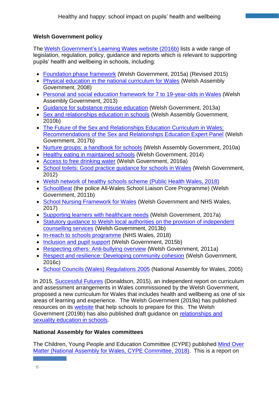## **Welsh Government policy**

The [Welsh Government's Learning Wales](https://learning.gov.wales/resources/improvementareas/Well-being/?lang=en) website (2016b) lists a wide range of legislation, regulation, policy, guidance and reports which is relevant to supporting pupils' health and wellbeing in schools, including:

- [Foundation phase framework](https://beta.gov.wales/sites/default/files/publications/2018-02/foundation-phase-framework-revised-2015.pdf) (Welsh Government, 2015a) (Revised 2015)
- [Physical education in the national curriculum for Wales](https://learning.gov.wales/docs/learningwales/publications/130425-physical-education-inthe-national-curriculum-en.pdf) (Welsh Assembly Government, 2008)
- [Personal and social education framework for 7 to 19-year-olds in Wales](https://learning.gov.wales/docs/learningwales/publications/130425-personal-and-social-education-framework-en.pdf) (Welsh Assembly Government, 2013)
- [Guidance for substance misuse education](https://beta.gov.wales/sites/default/files/publications/2018-03/guidance-for-substance-misuse-education.pdf) (Welsh Government, 2013a)
- [Sex and relationships education in schools](https://learning.gov.wales/docs/learningwales/publications/130425-sex-and-relationships-education-in-schools-en.pdf) (Welsh Assembly Government, 2010b)
- The Future of the Sex and Relationships Education Curriculum in Wales: [Recommendations of the Sex and Relationships Education Expert Panel](https://gweddill.gov.wales/docs/dcells/publications/180104-future-of-the-sex-and-relationships-education-curriculum-in-wales-en.pdf) (Welsh Government, 2017b)
- [Nurture groups: a handbook for schools](https://beta.gov.wales/sites/default/files/publications/2018-12/nurture-groups-a-handbook-for-schools.pdf) (Welsh Assembly Government, 2010a)
- [Healthy eating in maintained schools](https://beta.gov.wales/sites/default/files/publications/2018-12/healthy-eating-in-maintained-schools-statutory-guidance-for-local-authorities-and-governing-bodies.pdf) (Welsh Government, 2014)
- [Access to free drinking water](https://learning.gov.wales/docs/learningwales/publications/access-to-drinkingwater-en.pdf) (Welsh Government, 2016a)
- School toilets: Good practice quidance for schools in Wales (Welsh Government, 2012)
- [Welsh network of healthy schools scheme](http://www.wales.nhs.uk/sitesplus/888/page/82249) (Public Health Wales, 2018)
- [SchoolBeat](https://www.schoolbeat.org/) (the police All-Wales School Liaison Core Programme) (Welsh Government, 2011b)
- [School Nursing Framework for Wales](https://gov.wales/docs/phhs/publications/170523schoolnurseen.pdf) (Welsh Government and NHS Wales, 2017)
- [Supporting learners with healthcare needs](https://beta.gov.wales/sites/default/files/publications/2018-12/supporting-learners-with-healthcare-needs.pdf) (Welsh Government, 2017a)
- Statutory quidance to Welsh local authorities on the provision of independent [counselling services](https://beta.gov.wales/sites/default/files/publications/2018-03/statutory-guidance-to-welsh-local-authorities-on-the-provision-of-independent-counselling-services.pdf) (Welsh Government, 2013b)
- [In-reach to schools programme](http://www.wales.nhs.uk/news/49534) (NHS Wales, 2018)
- [Inclusion and pupil support](https://beta.gov.wales/sites/default/files/consultations/2018-01/151216-inclusion-and-pupil-support-draft-guidance-en.pdf) (Welsh Government, 2015b)
- [Respecting others: Anti-bullying overview](https://beta.gov.wales/sites/default/files/publications/2018-03/respecting-others-anti-bullying-overview.pdf) (Welsh Government, 2011a)
- Respect and resilience: [Developing community cohesion](https://gov.wales/sites/default/files/publications/2018-03/respect-and-resilience-developing-community-cohesion.pdf) (Welsh Government, 2016c)
- School Councils [\(Wales\) Regulations 2005](http://www.legislation.gov.uk/wsi/2005/3200/contents/made) (National Assembly for Wales, 2005)

In 2015, [Successful Futures](https://gweddill.gov.wales/docs/dcells/publications/150225-successful-futures-en.pdf) (Donaldson, 2015), an independent report on curriculum and assessment arrangements in Wales commissioned by the Welsh Government, proposed a new curriculum for Wales that includes health and wellbeing as one of six areas of learning and experience. The Welsh Government (2019a) has published resources on its [website](https://beta.gov.wales/preparing-new-curriculum) that help schools to prepare for this. The Welsh Government (2019b) has also published draft guidance on [relationships and](https://beta.gov.wales/sites/default/files/consultations/2019-02/relationships-and-sexuality-education-in-schools-guidance.pdf)  [sexuality education in schools.](https://beta.gov.wales/sites/default/files/consultations/2019-02/relationships-and-sexuality-education-in-schools-guidance.pdf)

## **National Assembly for Wales committees**

The Children, Young People and Education Committee (CYPE) published Mind [Over](https://www.assembly.wales/laid%20documents/cr-ld11522/cr-ld11522-e.pdf)  Matter [\(National Assembly for Wales, CYPE Committee, 2018\).](https://www.assembly.wales/laid%20documents/cr-ld11522/cr-ld11522-e.pdf) This is a report on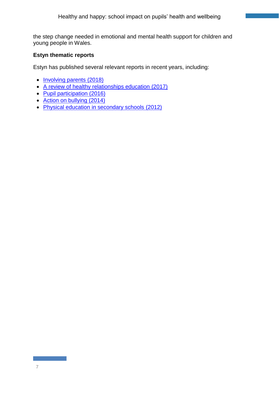the step change needed in emotional and mental health support for children and young people in Wales.

## **Estyn thematic reports**

Estyn has published several relevant reports in recent years, including:

- [Involving parents](https://www.estyn.gov.wales/thematic-reports/involving-parents-communication-between-schools-and-parents-school-aged-children) (2018)
- [A review of healthy relationships education](https://www.estyn.gov.wales/thematic-reports/review-healthy-relationships-education) (2017)
- [Pupil participation](https://www.estyn.gov.wales/thematic-reports/pupil-participation-best-practice-guide) (2016)
- [Action on bullying](https://www.estyn.gov.wales/thematic-reports/action-bullying-june-2014) (2014)
- [Physical education in secondary schools](https://www.estyn.gov.wales/thematic-reports/physical-education-secondary-schools-february-2012) (2012)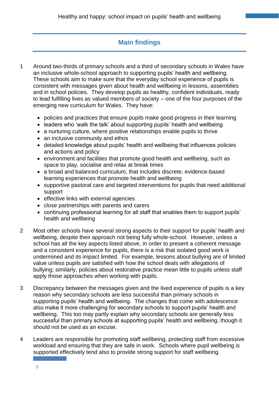# **Main findings**

- 1 Around two-thirds of primary schools and a third of secondary schools in Wales have an inclusive whole-school approach to supporting pupils' health and wellbeing. These schools aim to make sure that the everyday school experience of pupils is consistent with messages given about health and wellbeing in lessons, assemblies and in school policies. They develop pupils as healthy, confident individuals, ready to lead fulfilling lives as valued members of society – one of the four purposes of the emerging new curriculum for Wales. They have:
	- policies and practices that ensure pupils make good progress in their learning
	- leaders who 'walk the talk' about supporting pupils' health and wellbeing
	- a nurturing culture, where positive relationships enable pupils to thrive
	- an inclusive community and ethos
	- detailed knowledge about pupils' health and wellbeing that influences policies and actions and policy
	- environment and facilities that promote good health and wellbeing, such as space to play, socialise and relax at break times
	- a broad and balanced curriculum, that includes discrete, evidence-based learning experiences that promote health and wellbeing
	- supportive pastoral care and targeted interventions for pupils that need additional support
	- effective links with external agencies
	- close partnerships with parents and carers
	- continuing professional learning for all staff that enables them to support pupils' health and wellbeing
- 2 Most other schools have several strong aspects to their support for pupils' health and wellbeing, despite their approach not being fully whole-school. However, unless a school has all the key aspects listed above, in order to present a coherent message and a consistent experience for pupils, there is a risk that isolated good work is undermined and its impact limited. For example, lessons about bullying are of limited value unless pupils are satisfied with how the school deals with allegations of bullying; similarly, policies about restorative practice mean little to pupils unless staff apply those approaches when working with pupils.
- 3 Discrepancy between the messages given and the lived experience of pupils is a key reason why secondary schools are less successful than primary schools in supporting pupils' health and wellbeing. The changes that come with adolescence also make it more challenging for secondary schools to support pupils' health and wellbeing. This too may partly explain why secondary schools are generally less successful than primary schools at supporting pupils' health and wellbeing, though it should not be used as an excuse.
- 4 Leaders are responsible for promoting staff wellbeing, protecting staff from excessive workload and ensuring that they are safe in work. Schools where pupil wellbeing is supported effectively tend also to provide strong support for staff wellbeing.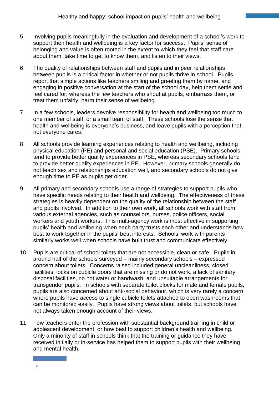- 5 Involving pupils meaningfully in the evaluation and development of a school's work to support their health and wellbeing is a key factor for success. Pupils' sense of belonging and value is often rooted in the extent to which they feel that staff care about them, take time to get to know them, and listen to their views.
- 6 The quality of relationships between staff and pupils and in peer relationships between pupils is a critical factor in whether or not pupils thrive in school. Pupils report that simple actions like teachers smiling and greeting them by name, and engaging in positive conversation at the start of the school day, help them settle and feel cared for, whereas the few teachers who shout at pupils, embarrass them, or treat them unfairly, harm their sense of wellbeing.
- 7 In a few schools, leaders devolve responsibility for health and wellbeing too much to one member of staff, or a small team of staff. These schools lose the sense that health and wellbeing is everyone's business, and leave pupils with a perception that not everyone cares.
- 8 All schools provide learning experiences relating to health and wellbeing, including physical education (PE) and personal and social education (PSE). Primary schools tend to provide better quality experiences in PSE, whereas secondary schools tend to provide better quality experiences in PE. However, primary schools generally do not teach sex and relationships education well, and secondary schools do not give enough time to PE as pupils get older.
- 9 All primary and secondary schools use a range of strategies to support pupils who have specific needs relating to their health and wellbeing. The effectiveness of these strategies is heavily dependent on the quality of the relationship between the staff and pupils involved. In addition to their own work, all schools work with staff from various external agencies, such as counsellors, nurses, police officers, social workers and youth workers. This multi-agency work is most effective in supporting pupils' health and wellbeing when each party trusts each other and understands how best to work together in the pupils' best interests. Schools' work with parents similarly works well when schools have built trust and communicate effectively.
- 10 Pupils are critical of school toilets that are not accessible, clean or safe. Pupils in around half of the schools surveyed – mainly secondary schools – expressed concern about toilets. Concerns raised included general uncleanliness, closed facilities, locks on cubicle doors that are missing or do not work, a lack of sanitary disposal facilities, no hot water or handwash, and unsuitable arrangements for transgender pupils. In schools with separate toilet blocks for male and female pupils, pupils are also concerned about anti-social behaviour, which is very rarely a concern where pupils have access to single cubicle toilets attached to open washrooms that can be monitored easily. Pupils have strong views about toilets, but schools have not always taken enough account of their views.
- 11 Few teachers enter the profession with substantial background training in child or adolescent development, or how best to support children's health and wellbeing. Only a minority of staff in schools think that the training or guidance they have received initially or in-service has helped them to support pupils with their wellbeing and mental health.

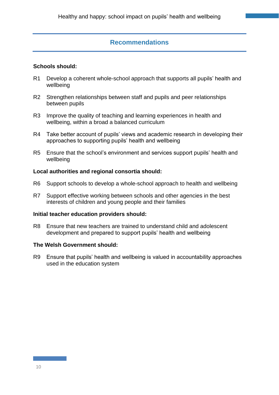## **Recommendations**

#### **Schools should:**

- R1 Develop a coherent whole-school approach that supports all pupils' health and wellbeing
- R2 Strengthen relationships between staff and pupils and peer relationships between pupils
- R3 Improve the quality of teaching and learning experiences in health and wellbeing, within a broad a balanced curriculum
- R4 Take better account of pupils' views and academic research in developing their approaches to supporting pupils' health and wellbeing
- R5 Ensure that the school's environment and services support pupils' health and wellbeing

#### **Local authorities and regional consortia should:**

- R6 Support schools to develop a whole-school approach to health and wellbeing
- R7 Support effective working between schools and other agencies in the best interests of children and young people and their families

#### **Initial teacher education providers should:**

R8 Ensure that new teachers are trained to understand child and adolescent development and prepared to support pupils' health and wellbeing

#### **The Welsh Government should:**

R9 Ensure that pupils' health and wellbeing is valued in accountability approaches used in the education system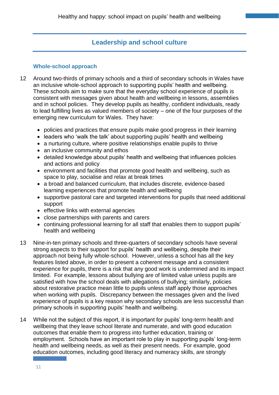# **Leadership and school culture**

#### **Whole-school approach**

- 12 Around two-thirds of primary schools and a third of secondary schools in Wales have an inclusive whole-school approach to supporting pupils' health and wellbeing. These schools aim to make sure that the everyday school experience of pupils is consistent with messages given about health and wellbeing in lessons, assemblies and in school policies. They develop pupils as healthy, confident individuals, ready to lead fulfilling lives as valued members of society – one of the four purposes of the emerging new curriculum for Wales. They have:
	- policies and practices that ensure pupils make good progress in their learning
	- leaders who 'walk the talk' about supporting pupils' health and wellbeing
	- a nurturing culture, where positive relationships enable pupils to thrive
	- an inclusive community and ethos
	- detailed knowledge about pupils' health and wellbeing that influences policies and actions and policy
	- environment and facilities that promote good health and wellbeing, such as space to play, socialise and relax at break times
	- a broad and balanced curriculum, that includes discrete, evidence-based learning experiences that promote health and wellbeing
	- supportive pastoral care and targeted interventions for pupils that need additional support
	- effective links with external agencies
	- close partnerships with parents and carers
	- continuing professional learning for all staff that enables them to support pupils' health and wellbeing
- 13 Nine-in-ten primary schools and three-quarters of secondary schools have several strong aspects to their support for pupils' health and wellbeing, despite their approach not being fully whole-school. However, unless a school has all the key features listed above, in order to present a coherent message and a consistent experience for pupils, there is a risk that any good work is undermined and its impact limited. For example, lessons about bullying are of limited value unless pupils are satisfied with how the school deals with allegations of bullying; similarly, policies about restorative practice mean little to pupils unless staff apply those approaches when working with pupils. Discrepancy between the messages given and the lived experience of pupils is a key reason why secondary schools are less successful than primary schools in supporting pupils' health and wellbeing.
- 14 While not the subject of this report, it is important for pupils' long-term health and wellbeing that they leave school literate and numerate, and with good education outcomes that enable them to progress into further education, training or employment. Schools have an important role to play in supporting pupils' long-term health and wellbeing needs, as well as their present needs. For example, good education outcomes, including good literacy and numeracy skills, are strongly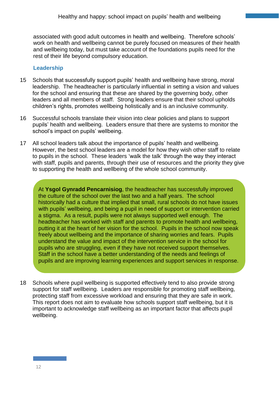associated with good adult outcomes in health and wellbeing. Therefore schools' work on health and wellbeing cannot be purely focused on measures of their health and wellbeing today, but must take account of the foundations pupils need for the rest of their life beyond compulsory education.

#### **Leadership**

- 15 Schools that successfully support pupils' health and wellbeing have strong, moral leadership. The headteacher is particularly influential in setting a vision and values for the school and ensuring that these are shared by the governing body, other leaders and all members of staff. Strong leaders ensure that their school upholds children's rights, promotes wellbeing holistically and is an inclusive community.
- 16 Successful schools translate their vision into clear policies and plans to support pupils' health and wellbeing. Leaders ensure that there are systems to monitor the school's impact on pupils' wellbeing.
- 17 All school leaders talk about the importance of pupils' health and wellbeing. However, the best school leaders are a model for how they wish other staff to relate to pupils in the school. These leaders 'walk the talk' through the way they interact with staff, pupils and parents, through their use of resources and the priority they give to supporting the health and wellbeing of the whole school community.

At **Ysgol Gynradd Pencarnisiog**, the headteacher has successfully improved the culture of the school over the last two and a half years. The school historically had a culture that implied that small, rural schools do not have issues with pupils' wellbeing, and being a pupil in need of support or intervention carried a stigma. As a result, pupils were not always supported well enough. The headteacher has worked with staff and parents to promote health and wellbeing, putting it at the heart of her vision for the school. Pupils in the school now speak freely about wellbeing and the importance of sharing worries and fears. Pupils understand the value and impact of the intervention service in the school for pupils who are struggling, even if they have not received support themselves. Staff in the school have a better understanding of the needs and feelings of pupils and are improving learning experiences and support services in response.

18 Schools where pupil wellbeing is supported effectively tend to also provide strong support for staff wellbeing. Leaders are responsible for promoting staff wellbeing, protecting staff from excessive workload and ensuring that they are safe in work. This report does not aim to evaluate how schools support staff wellbeing, but it is important to acknowledge staff wellbeing as an important factor that affects pupil wellbeing.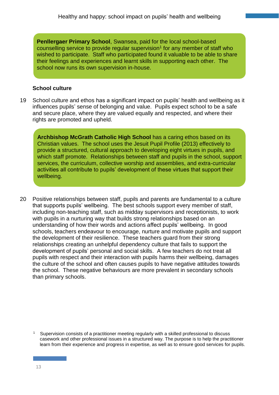**Penllergaer Primary School**, Swansea, paid for the local school-based counselling service to provide regular supervision<sup>1</sup> for any member of staff who wished to participate. Staff who participated found it valuable to be able to share their feelings and experiences and learnt skills in supporting each other. The school now runs its own supervision in-house.

#### **School culture**

19 School culture and ethos has a significant impact on pupils' health and wellbeing as it influences pupils' sense of belonging and value. Pupils expect school to be a safe and secure place, where they are valued equally and respected, and where their rights are promoted and upheld.

**Archbishop McGrath Catholic High School** has a caring ethos based on its Christian values. The school uses the Jesuit Pupil Profile (2013) effectively to provide a structured, cultural approach to developing eight virtues in pupils, and which staff promote. Relationships between staff and pupils in the school, support services, the curriculum, collective worship and assemblies, and extra-curricular activities all contribute to pupils' development of these virtues that support their wellbeing.

20 Positive relationships between staff, pupils and parents are fundamental to a culture that supports pupils' wellbeing. The best schools support every member of staff, including non-teaching staff, such as midday supervisors and receptionists, to work with pupils in a nurturing way that builds strong relationships based on an understanding of how their words and actions affect pupils' wellbeing. In good schools, teachers endeavour to encourage, nurture and motivate pupils and support the development of their resilience. These teachers guard from their strong relationships creating an unhelpful dependency culture that fails to support the development of pupils' personal and social skills. A few teachers do not treat all pupils with respect and their interaction with pupils harms their wellbeing, damages the culture of the school and often causes pupils to have negative attitudes towards the school. These negative behaviours are more prevalent in secondary schools than primary schools.

<sup>1</sup> Supervision consists of a practitioner meeting regularly with a skilled professional to discuss casework and other professional issues in a structured way. The purpose is to help the practitioner learn from their experience and progress in expertise, as well as to ensure good services for pupils.

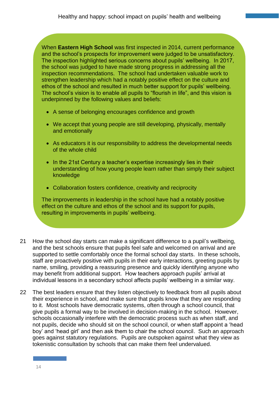1 When **Eastern High School** was first inspected in 2014, current performance and the school's prospects for improvement were judged to be unsatisfactory. The inspection highlighted serious concerns about pupils' wellbeing. In 2017, the school was judged to have made strong progress in addressing all the inspection recommendations. The school had undertaken valuable work to strengthen leadership which had a notably positive effect on the culture and ethos of the school and resulted in much better support for pupils' wellbeing. The school's vision is to enable all pupils to "flourish in life", and this vision is underpinned by the following values and beliefs:

- A sense of belonging encourages confidence and growth
- We accept that young people are still developing, physically, mentally and emotionally
- As educators it is our responsibility to address the developmental needs of the whole child
- In the 21st Century a teacher's expertise increasingly lies in their understanding of how young people learn rather than simply their subject knowledge
- Collaboration fosters confidence, creativity and reciprocity

The improvements in leadership in the school have had a notably positive effect on the culture and ethos of the school and its support for pupils, resulting in improvements in pupils' wellbeing.

- 21 How the school day starts can make a significant difference to a pupil's wellbeing, and the best schools ensure that pupils feel safe and welcomed on arrival and are supported to settle comfortably once the formal school day starts. In these schools, staff are proactively positive with pupils in their early interactions, greeting pupils by name, smiling, providing a reassuring presence and quickly identifying anyone who may benefit from additional support. How teachers approach pupils' arrival at individual lessons in a secondary school affects pupils' wellbeing in a similar way.
- 22 The best leaders ensure that they listen objectively to feedback from all pupils about their experience in school, and make sure that pupils know that they are responding to it. Most schools have democratic systems, often through a school council, that give pupils a formal way to be involved in decision-making in the school. However, schools occasionally interfere with the democratic process such as when staff, and not pupils, decide who should sit on the school council, or when staff appoint a 'head boy' and 'head girl' and then ask them to chair the school council. Such an approach goes against statutory regulations. Pupils are outspoken against what they view as tokenistic consultation by schools that can make them feel undervalued.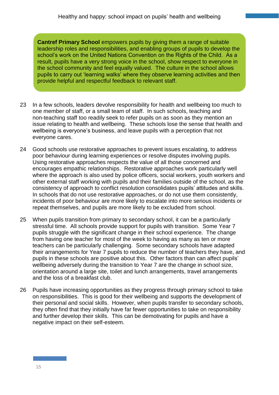**Cantref Primary School** empowers pupils by giving them a range of suitable leadership roles and responsibilities, and enabling groups of pupils to develop the school's work on the United Nations Convention on the Rights of the Child. As a result, pupils have a very strong voice in the school, show respect to everyone in the school community and feel equally valued. The culture in the school allows pupils to carry out 'learning walks' where they observe learning activities and then provide helpful and respectful feedback to relevant staff.

- 23 In a few schools, leaders devolve responsibility for health and wellbeing too much to one member of staff, or a small team of staff. In such schools, teaching and non-teaching staff too readily seek to refer pupils on as soon as they mention an issue relating to health and wellbeing. These schools lose the sense that health and wellbeing is everyone's business, and leave pupils with a perception that not everyone cares.
- 24 Good schools use restorative approaches to prevent issues escalating, to address poor behaviour during learning experiences or resolve disputes involving pupils. Using restorative approaches respects the value of all those concerned and encourages empathic relationships. Restorative approaches work particularly well where the approach is also used by police officers, social workers, youth workers and other external staff working with pupils and their families outside of the school, as the consistency of approach to conflict resolution consolidates pupils' attitudes and skills. In schools that do not use restorative approaches, or do not use them consistently, incidents of poor behaviour are more likely to escalate into more serious incidents or repeat themselves, and pupils are more likely to be excluded from school.
- 25 When pupils transition from primary to secondary school, it can be a particularly stressful time. All schools provide support for pupils with transition. Some Year 7 pupils struggle with the significant change in their school experience. The change from having one teacher for most of the week to having as many as ten or more teachers can be particularly challenging. Some secondary schools have adapted their arrangements for Year 7 pupils to reduce the number of teachers they have, and pupils in these schools are positive about this. Other factors than can affect pupils' wellbeing adversely during the transition to Year 7 are the change in school size, orientation around a large site, toilet and lunch arrangements, travel arrangements and the loss of a breakfast club.
- 26 Pupils have increasing opportunities as they progress through primary school to take on responsibilities. This is good for their wellbeing and supports the development of their personal and social skills. However, when pupils transfer to secondary schools, they often find that they initially have far fewer opportunities to take on responsibility and further develop their skills. This can be demotivating for pupils and have a negative impact on their self-esteem.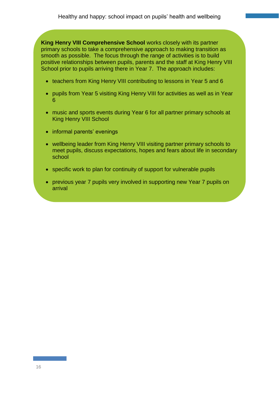2 **King Henry VIII Comprehensive School** works closely with its partner primary schools to take a comprehensive approach to making transition as smooth as possible. The focus through the range of activities is to build positive relationships between pupils, parents and the staff at King Henry VIII School prior to pupils arriving there in Year 7. The approach includes:

- teachers from King Henry VIII contributing to lessons in Year 5 and 6
- pupils from Year 5 visiting King Henry VIII for activities as well as in Year 6
- music and sports events during Year 6 for all partner primary schools at King Henry VIII School
- informal parents' evenings
- wellbeing leader from King Henry VIII visiting partner primary schools to meet pupils, discuss expectations, hopes and fears about life in secondary school
- specific work to plan for continuity of support for vulnerable pupils
- previous year 7 pupils very involved in supporting new Year 7 pupils on arrival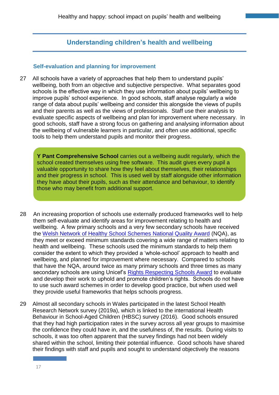# **Understanding children's health and wellbeing**

#### **Self-evaluation and planning for improvement**

27 All schools have a variety of approaches that help them to understand pupils' wellbeing, both from an objective and subjective perspective. What separates good schools is the effective way in which they use information about pupils' wellbeing to improve pupils' school experience. In good schools, staff analyse regularly a wide range of data about pupils' wellbeing and consider this alongside the views of pupils and their parents as well as the views of professionals. Staff use their analysis to evaluate specific aspects of wellbeing and plan for improvement where necessary. In good schools, staff have a strong focus on gathering and analysing information about the wellbeing of vulnerable learners in particular, and often use additional, specific tools to help them understand pupils and monitor their progress.

**Y Pant Comprehensive School** carries out a wellbeing audit regularly, which the school created themselves using free software. This audit gives every pupil a valuable opportunity to share how they feel about themselves, their relationships and their progress in school. This is used well by staff alongside other information they have about their pupils, such as their attendance and behaviour, to identify those who may benefit from additional support.

- 28 An increasing proportion of schools use externally produced frameworks well to help them self-evaluate and identify areas for improvement relating to health and wellbeing. A few primary schools and a very few secondary schools have received the [Welsh Network of Healthy School Schemes National Quality Award](https://www.publichealthnetwork.cymru/en/social-determinants/education/welsh-network-of-healthy-school-schemes-wnhss/) (NQA), as they meet or exceed minimum standards covering a wide range of matters relating to health and wellbeing. These schools used the minimum standards to help them consider the extent to which they provided a 'whole-school' approach to health and wellbeing, and planned for improvement where necessary. Compared to schools that have the NQA, around twice as many primary schools and three times as many secondary schools are using Unicef's [Rights Respecting Schools Award](https://www.unicef.org.uk/rights-respecting-schools/resources/teaching-resources/?sisearchengine=284&siproduct=Campaign_%2A%2ARRSA-Rights-Broad) to evaluate and develop their work to uphold and promote children's rights. Schools do not have to use such award schemes in order to develop good practice, but when used well they provide useful frameworks that helps schools progress.
- 29 Almost all secondary schools in Wales participated in the latest School Health Research Network survey (2019a), which is linked to the international Health Behaviour in School-Aged Children (HBSC) survey (2016). Good schools ensured that they had high participation rates in the survey across all year groups to maximise the confidence they could have in, and the usefulness of, the results. During visits to schools, it was too often apparent that the survey findings had not been widely shared within the school, limiting their potential influence. Good schools have shared their findings with staff and pupils and sought to understand objectively the reasons

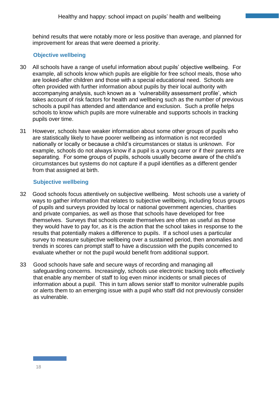behind results that were notably more or less positive than average, and planned for improvement for areas that were deemed a priority.

### **Objective wellbeing**

- 30 All schools have a range of useful information about pupils' objective wellbeing. For example, all schools know which pupils are eligible for free school meals, those who are looked-after children and those with a special educational need. Schools are often provided with further information about pupils by their local authority with accompanying analysis, such known as a 'vulnerability assessment profile', which takes account of risk factors for health and wellbeing such as the number of previous schools a pupil has attended and attendance and exclusion. Such a profile helps schools to know which pupils are more vulnerable and supports schools in tracking pupils over time.
- 31 However, schools have weaker information about some other groups of pupils who are statistically likely to have poorer wellbeing as information is not recorded nationally or locally or because a child's circumstances or status is unknown. For example, schools do not always know if a pupil is a young carer or if their parents are separating. For some groups of pupils, schools usually become aware of the child's circumstances but systems do not capture if a pupil identifies as a different gender from that assigned at birth.

#### **Subjective wellbeing**

- 32 Good schools focus attentively on subjective wellbeing. Most schools use a variety of ways to gather information that relates to subjective wellbeing, including focus groups of pupils and surveys provided by local or national government agencies, charities and private companies, as well as those that schools have developed for free themselves. Surveys that schools create themselves are often as useful as those they would have to pay for, as it is the action that the school takes in response to the results that potentially makes a difference to pupils. If a school uses a particular survey to measure subjective wellbeing over a sustained period, then anomalies and trends in scores can prompt staff to have a discussion with the pupils concerned to evaluate whether or not the pupil would benefit from additional support.
- 33 Good schools have safe and secure ways of recording and managing all safeguarding concerns. Increasingly, schools use electronic tracking tools effectively that enable any member of staff to log even minor incidents or small pieces of information about a pupil. This in turn allows senior staff to monitor vulnerable pupils or alerts them to an emerging issue with a pupil who staff did not previously consider as vulnerable.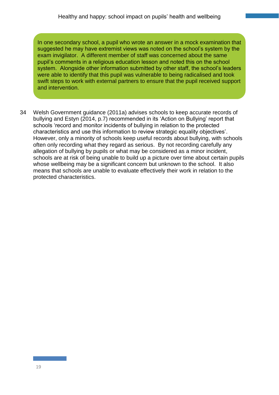In one secondary school, a pupil who wrote an answer in a mock examination that suggested he may have extremist views was noted on the school's system by the exam invigilator. A different member of staff was concerned about the same pupil's comments in a religious education lesson and noted this on the school system. Alongside other information submitted by other staff, the school's leaders were able to identify that this pupil was vulnerable to being radicalised and took swift steps to work with external partners to ensure that the pupil received support and intervention.

34 Welsh Government guidance (2011a) advises schools to keep accurate records of bullying and Estyn (2014, p.7) recommended in its 'Action on Bullying' report that schools 'record and monitor incidents of bullying in relation to the protected characteristics and use this information to review strategic equality objectives'. However, only a minority of schools keep useful records about bullying, with schools often only recording what they regard as serious. By not recording carefully any allegation of bullying by pupils or what may be considered as a minor incident, schools are at risk of being unable to build up a picture over time about certain pupils whose wellbeing may be a significant concern but unknown to the school. It also means that schools are unable to evaluate effectively their work in relation to the protected characteristics.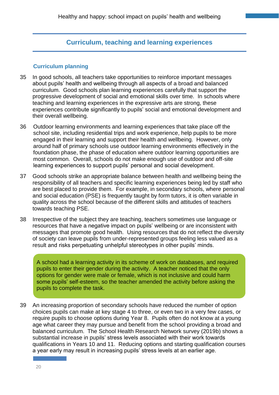# **Curriculum, teaching and learning experiences**

#### **Curriculum planning**

- 35 In good schools, all teachers take opportunities to reinforce important messages about pupils' health and wellbeing through all aspects of a broad and balanced curriculum. Good schools plan learning experiences carefully that support the progressive development of social and emotional skills over time. In schools where teaching and learning experiences in the expressive arts are strong, these experiences contribute significantly to pupils' social and emotional development and their overall wellbeing.
- 36 Outdoor learning environments and learning experiences that take place off the school site, including residential trips and work experience, help pupils to be more engaged in their learning and support their health and wellbeing. However, only around half of primary schools use outdoor learning environments effectively in the foundation phase, the phase of education where outdoor learning opportunities are most common. Overall, schools do not make enough use of outdoor and off-site learning experiences to support pupils' personal and social development.
- 37 Good schools strike an appropriate balance between health and wellbeing being the responsibility of all teachers and specific learning experiences being led by staff who are best placed to provide them. For example, in secondary schools, where personal and social education (PSE) is frequently taught by form tutors, it is often variable in quality across the school because of the different skills and attitudes of teachers towards teaching PSE.
- 38 Irrespective of the subject they are teaching, teachers sometimes use language or resources that have a negative impact on pupils' wellbeing or are inconsistent with messages that promote good health. Using resources that do not reflect the diversity of society can leave pupils from under-represented groups feeling less valued as a result and risks perpetuating unhelpful stereotypes in other pupils' minds.

A school had a learning activity in its scheme of work on databases, and required pupils to enter their gender during the activity. A teacher noticed that the only options for gender were male or female, which is not inclusive and could harm some pupils' self-esteem, so the teacher amended the activity before asking the pupils to complete the task.

39 An increasing proportion of secondary schools have reduced the number of option choices pupils can make at key stage 4 to three, or even two in a very few cases, or require pupils to choose options during Year 8. Pupils often do not know at a young age what career they may pursue and benefit from the school providing a broad and balanced curriculum. The School Health Research Network survey (2019b) shows a substantial increase in pupils' stress levels associated with their work towards qualifications in Years 10 and 11. Reducing options and starting qualification courses a year early may result in increasing pupils' stress levels at an earlier age.

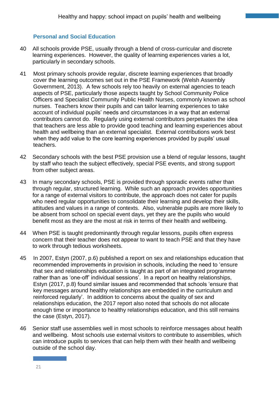## **Personal and Social Education**

- 40 All schools provide PSE, usually through a blend of cross-curricular and discrete learning experiences. However, the quality of learning experiences varies a lot, particularly in secondary schools.
- 41 Most primary schools provide regular, discrete learning experiences that broadly cover the learning outcomes set out in the PSE Framework (Welsh Assembly Government, 2013). A few schools rely too heavily on external agencies to teach aspects of PSE, particularly those aspects taught by School Community Police Officers and Specialist Community Public Health Nurses, commonly known as school nurses. Teachers know their pupils and can tailor learning experiences to take account of individual pupils' needs and circumstances in a way that an external contributors cannot do. Regularly using external contributors perpetuates the idea that teachers are less able to provide good teaching and learning experiences about health and wellbeing than an external specialist. External contributions work best when they add value to the core learning experiences provided by pupils' usual teachers.
- 42 Secondary schools with the best PSE provision use a blend of regular lessons, taught by staff who teach the subject effectively, special PSE events, and strong support from other subject areas.
- 43 In many secondary schools, PSE is provided through sporadic events rather than through regular, structured learning. While such an approach provides opportunities for a range of external visitors to contribute, the approach does not cater for pupils who need regular opportunities to consolidate their learning and develop their skills, attitudes and values in a range of contexts. Also, vulnerable pupils are more likely to be absent from school on special event days, yet they are the pupils who would benefit most as they are the most at risk in terms of their health and wellbeing.
- 44 When PSE is taught predominantly through regular lessons, pupils often express concern that their teacher does not appear to want to teach PSE and that they have to work through tedious worksheets.
- 45 In 2007, Estyn (2007, p.6) published a report on sex and relationships education that recommended improvements in provision in schools, including the need to 'ensure that sex and relationships education is taught as part of an integrated programme rather than as 'one-off' individual sessions'. In a report on healthy relationships, Estyn (2017, p.8) found similar issues and recommended that schools 'ensure that key messages around healthy relationships are embedded in the curriculum and reinforced regularly'. In addition to concerns about the quality of sex and relationships education, the 2017 report also noted that schools do not allocate enough time or importance to healthy relationships education, and this still remains the case (Estyn, 2017).
- 46 Senior staff use assemblies well in most schools to reinforce messages about health and wellbeing. Most schools use external visitors to contribute to assemblies, which can introduce pupils to services that can help them with their health and wellbeing outside of the school day.

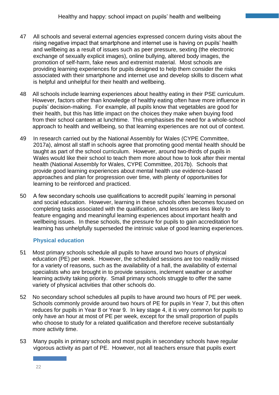- 47 All schools and several external agencies expressed concern during visits about the rising negative impact that smartphone and internet use is having on pupils' health and wellbeing as a result of issues such as peer pressure, sexting (the electronic exchange of sexually explicit images), online bullying, altered body images, the promotion of self-harm, fake news and extremist material. Most schools are providing learning experiences for pupils designed to help them consider the risks associated with their smartphone and internet use and develop skills to discern what is helpful and unhelpful for their health and wellbeing.
- 48 All schools include learning experiences about healthy eating in their PSE curriculum. However, factors other than knowledge of healthy eating often have more influence in pupils' decision-making. For example, all pupils know that vegetables are good for their health, but this has little impact on the choices they make when buying food from their school canteen at lunchtime. This emphasises the need for a whole-school approach to health and wellbeing, so that learning experiences are not out of context.
- 49 In research carried out by the National Assembly for Wales (CYPE Committee, 2017a), almost all staff in schools agree that promoting good mental health should be taught as part of the school curriculum. However, around two-thirds of pupils in Wales would like their school to teach them more about how to look after their mental health (National Assembly for Wales, CYPE Committee, 2017b). Schools that provide good learning experiences about mental health use evidence-based approaches and plan for progression over time, with plenty of opportunities for learning to be reinforced and practiced.
- 50 A few secondary schools use qualifications to accredit pupils' learning in personal and social education. However, learning in these schools often becomes focused on completing tasks associated with the qualification, and lessons are less likely to feature engaging and meaningful learning experiences about important health and wellbeing issues. In these schools, the pressure for pupils to gain accreditation for learning has unhelpfully superseded the intrinsic value of good learning experiences.

## **Physical education**

- 51 Most primary schools schedule all pupils to have around two hours of physical education (PE) per week. However, the scheduled sessions are too readily missed for a variety of reasons, such as the availability of a hall, the availability of external specialists who are brought in to provide sessions, inclement weather or another learning activity taking priority. Small primary schools struggle to offer the same variety of physical activities that other schools do.
- 52 No secondary school schedules all pupils to have around two hours of PE per week. Schools commonly provide around two hours of PE for pupils in Year 7, but this often reduces for pupils in Year 8 or Year 9. In key stage 4, it is very common for pupils to only have an hour at most of PE per week, except for the small proportion of pupils who choose to study for a related qualification and therefore receive substantially more activity time.
- 53 Many pupils in primary schools and most pupils in secondary schools have regular vigorous activity as part of PE. However, not all teachers ensure that pupils exert

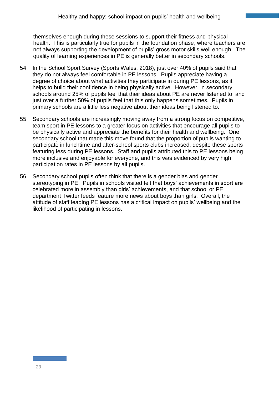themselves enough during these sessions to support their fitness and physical health. This is particularly true for pupils in the foundation phase, where teachers are not always supporting the development of pupils' gross motor skills well enough. The quality of learning experiences in PE is generally better in secondary schools.

- 54 In the School Sport Survey (Sports Wales, 2018), just over 40% of pupils said that they do not always feel comfortable in PE lessons. Pupils appreciate having a degree of choice about what activities they participate in during PE lessons, as it helps to build their confidence in being physically active. However, in secondary schools around 25% of pupils feel that their ideas about PE are never listened to, and just over a further 50% of pupils feel that this only happens sometimes. Pupils in primary schools are a little less negative about their ideas being listened to.
- 55 Secondary schools are increasingly moving away from a strong focus on competitive, team sport in PE lessons to a greater focus on activities that encourage all pupils to be physically active and appreciate the benefits for their health and wellbeing. One secondary school that made this move found that the proportion of pupils wanting to participate in lunchtime and after-school sports clubs increased, despite these sports featuring less during PE lessons. Staff and pupils attributed this to PE lessons being more inclusive and enjoyable for everyone, and this was evidenced by very high participation rates in PE lessons by all pupils.
- 56 Secondary school pupils often think that there is a gender bias and gender stereotyping in PE. Pupils in schools visited felt that boys' achievements in sport are celebrated more in assembly than girls' achievements, and that school or PE department Twitter feeds feature more news about boys than girls. Overall, the attitude of staff leading PE lessons has a critical impact on pupils' wellbeing and the likelihood of participating in lessons.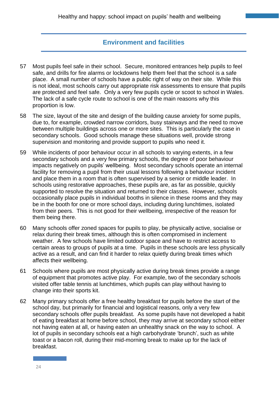# **Environment and facilities**

- 57 Most pupils feel safe in their school. Secure, monitored entrances help pupils to feel safe, and drills for fire alarms or lockdowns help them feel that the school is a safe place. A small number of schools have a public right of way on their site. While this is not ideal, most schools carry out appropriate risk assessments to ensure that pupils are protected and feel safe. Only a very few pupils cycle or scoot to school in Wales. The lack of a safe cycle route to school is one of the main reasons why this proportion is low.
- 58 The size, layout of the site and design of the building cause anxiety for some pupils, due to, for example, crowded narrow corridors, busy stairways and the need to move between multiple buildings across one or more sites. This is particularly the case in secondary schools. Good schools manage these situations well, provide strong supervision and monitoring and provide support to pupils who need it.
- 59 While incidents of poor behaviour occur in all schools to varying extents, in a few secondary schools and a very few primary schools, the degree of poor behaviour impacts negatively on pupils' wellbeing. Most secondary schools operate an internal facility for removing a pupil from their usual lessons following a behaviour incident and place them in a room that is often supervised by a senior or middle leader. In schools using restorative approaches, these pupils are, as far as possible, quickly supported to resolve the situation and returned to their classes. However, schools occasionally place pupils in individual booths in silence in these rooms and they may be in the booth for one or more school days, including during lunchtimes, isolated from their peers. This is not good for their wellbeing, irrespective of the reason for them being there.
- 60 Many schools offer zoned spaces for pupils to play, be physically active, socialise or relax during their break times, although this is often compromised in inclement weather. A few schools have limited outdoor space and have to restrict access to certain areas to groups of pupils at a time. Pupils in these schools are less physically active as a result, and can find it harder to relax quietly during break times which affects their wellbeing.
- 61 Schools where pupils are most physically active during break times provide a range of equipment that promotes active play. For example, two of the secondary schools visited offer table tennis at lunchtimes, which pupils can play without having to change into their sports kit.
- 62 Many primary schools offer a free healthy breakfast for pupils before the start of the school day, but primarily for financial and logistical reasons, only a very few secondary schools offer pupils breakfast. As some pupils have not developed a habit of eating breakfast at home before school, they may arrive at secondary school either not having eaten at all, or having eaten an unhealthy snack on the way to school. A lot of pupils in secondary schools eat a high carbohydrate 'brunch', such as white toast or a bacon roll, during their mid-morning break to make up for the lack of breakfast.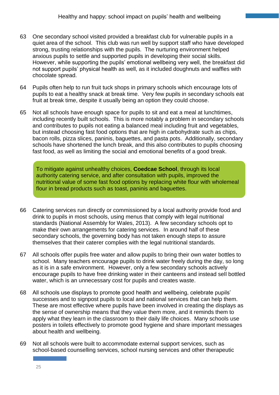- 63 One secondary school visited provided a breakfast club for vulnerable pupils in a quiet area of the school. This club was run well by support staff who have developed strong, trusting relationships with the pupils. The nurturing environment helped anxious pupils to settle and supported pupils in developing their social skills. However, while supporting the pupils' emotional wellbeing very well, the breakfast did not support pupils' physical health as well, as it included doughnuts and waffles with chocolate spread.
- 64 Pupils often help to run fruit tuck shops in primary schools which encourage lots of pupils to eat a healthy snack at break time. Very few pupils in secondary schools eat fruit at break time, despite it usually being an option they could choose.
- 65 Not all schools have enough space for pupils to sit and eat a meal at lunchtimes, including recently built schools. This is more notably a problem in secondary schools and contributes to pupils not eating a balanced meal including fruit and vegetables, but instead choosing fast food options that are high in carbohydrate such as chips, bacon rolls, pizza slices, paninis, baguettes, and pasta pots. Additionally, secondary schools have shortened the lunch break, and this also contributes to pupils choosing fast food, as well as limiting the social and emotional benefits of a good break.

To mitigate against unhealthy choices, **Coedcae School**, through its local authority catering service, and after consultation with pupils, improved the nutritional value of some fast food options by replacing white flour with wholemeal flour in bread products such as toast, paninis and baguettes.

- 66 Catering services run directly or commissioned by a local authority provide food and drink to pupils in most schools, using menus that comply with legal nutritional standards (National Assembly for Wales, 2013). A few secondary schools opt to make their own arrangements for catering services. In around half of these secondary schools, the governing body has not taken enough steps to assure themselves that their caterer complies with the legal nutritional standards.
- 67 All schools offer pupils free water and allow pupils to bring their own water bottles to school. Many teachers encourage pupils to drink water freely during the day, so long as it is in a safe environment. However, only a few secondary schools actively encourage pupils to have free drinking water in their canteens and instead sell bottled water, which is an unnecessary cost for pupils and creates waste.
- 68 All schools use displays to promote good health and wellbeing, celebrate pupils' successes and to signpost pupils to local and national services that can help them. These are most effective where pupils have been involved in creating the displays as the sense of ownership means that they value them more, and it reminds them to apply what they learn in the classroom to their daily life choices. Many schools use posters in toilets effectively to promote good hygiene and share important messages about health and wellbeing.
- 69 Not all schools were built to accommodate external support services, such as school-based counselling services, school nursing services and other therapeutic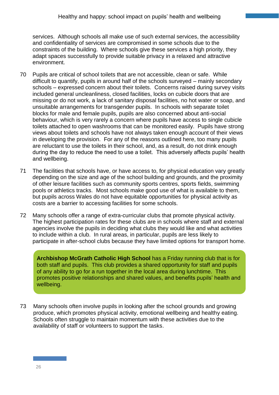services. Although schools all make use of such external services, the accessibility and confidentiality of services are compromised in some schools due to the constraints of the building. Where schools give these services a high priority, they adapt spaces successfully to provide suitable privacy in a relaxed and attractive environment.

- 70 Pupils are critical of school toilets that are not accessible, clean or safe. While difficult to quantify, pupils in around half of the schools surveyed – mainly secondary schools – expressed concern about their toilets. Concerns raised during survey visits included general uncleanliness, closed facilities, locks on cubicle doors that are missing or do not work, a lack of sanitary disposal facilities, no hot water or soap, and unsuitable arrangements for transgender pupils. In schools with separate toilet blocks for male and female pupils, pupils are also concerned about anti-social behaviour, which is very rarely a concern where pupils have access to single cubicle toilets attached to open washrooms that can be monitored easily. Pupils have strong views about toilets and schools have not always taken enough account of their views in developing the provision. For any of the reasons outlined here, too many pupils are reluctant to use the toilets in their school, and, as a result, do not drink enough during the day to reduce the need to use a toilet. This adversely affects pupils' health and wellbeing.
- 71 The facilities that schools have, or have access to, for physical education vary greatly depending on the size and age of the school building and grounds, and the proximity of other leisure facilities such as community sports centres, sports fields, swimming pools or athletics tracks. Most schools make good use of what is available to them, but pupils across Wales do not have equitable opportunities for physical activity as costs are a barrier to accessing facilities for some schools.
- 72 Many schools offer a range of extra-curricular clubs that promote physical activity. The highest participation rates for these clubs are in schools where staff and external agencies involve the pupils in deciding what clubs they would like and what activities to include within a club. In rural areas, in particular, pupils are less likely to participate in after-school clubs because they have limited options for transport home.

**Archbishop McGrath Catholic High School** has a Friday running club that is for both staff and pupils. This club provides a shared opportunity for staff and pupils of any ability to go for a run together in the local area during lunchtime. This promotes positive relationships and shared values, and benefits pupils' health and wellbeing.

73 Many schools often involve pupils in looking after the school grounds and growing produce, which promotes physical activity, emotional wellbeing and healthy eating. Schools often struggle to maintain momentum with these activities due to the availability of staff or volunteers to support the tasks.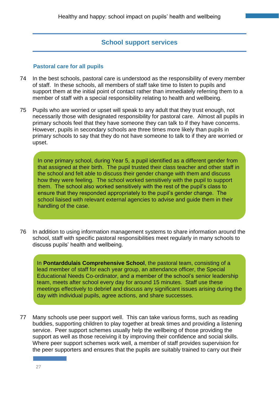## **School support services**

#### **Pastoral care for all pupils**

- 74 In the best schools, pastoral care is understood as the responsibility of every member of staff. In these schools, all members of staff take time to listen to pupils and support them at the initial point of contact rather than immediately referring them to a member of staff with a special responsibility relating to health and wellbeing.
- 75 Pupils who are worried or upset will speak to any adult that they trust enough, not necessarily those with designated responsibility for pastoral care. Almost all pupils in primary schools feel that they have someone they can talk to if they have concerns. However, pupils in secondary schools are three times more likely than pupils in primary schools to say that they do not have someone to talk to if they are worried or upset.

In one primary school, during Year 5, a pupil identified as a different gender from that assigned at their birth. The pupil trusted their class teacher and other staff in the school and felt able to discuss their gender change with them and discuss how they were feeling. The school worked sensitively with the pupil to support them. The school also worked sensitively with the rest of the pupil's class to ensure that they responded appropriately to the pupil's gender change. The school liaised with relevant external agencies to advise and guide them in their handling of the case.

76 In addition to using information management systems to share information around the school, staff with specific pastoral responsibilities meet regularly in many schools to discuss pupils' health and wellbeing.

In **Pontarddulais Comprehensive School**, the pastoral team, consisting of a lead member of staff for each year group, an attendance officer, the Special Educational Needs Co-ordinator, and a member of the school's senior leadership team, meets after school every day for around 15 minutes. Staff use these meetings effectively to debrief and discuss any significant issues arising during the day with individual pupils, agree actions, and share successes.

77 Many schools use peer support well. This can take various forms, such as reading buddies, supporting children to play together at break times and providing a listening service. Peer support schemes usually help the wellbeing of those providing the support as well as those receiving it by improving their confidence and social skills. Where peer support schemes work well, a member of staff provides supervision for the peer supporters and ensures that the pupils are suitably trained to carry out their

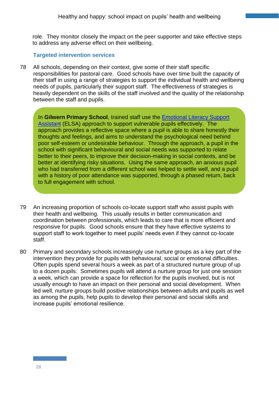role. They monitor closely the impact on the peer supporter and take effective steps to address any adverse effect on their wellbeing.

### **Targeted intervention services**

78 All schools, depending on their context, give some of their staff specific responsibilities for pastoral care. Good schools have over time built the capacity of their staff in using a range of strategies to support the individual health and wellbeing needs of pupils, particularly their support staff. The effectiveness of strategies is heavily dependent on the skills of the staff involved and the quality of the relationship between the staff and pupils.

3 In **Gilwern Primary School**, trained staff use the [Emotional Literacy Support](https://www.elsa-support.co.uk/)  [Assistant](https://www.elsa-support.co.uk/) (ELSA) approach to support vulnerable pupils effectively. The approach provides a reflective space where a pupil is able to share honestly their thoughts and feelings, and aims to understand the psychological need behind poor self-esteem or undesirable behaviour. Through the approach, a pupil in the school with significant behavioural and social needs was supported to relate better to their peers, to improve their decision-making in social contexts, and be better at identifying risky situations. Using the same approach, an anxious pupil who had transferred from a different school was helped to settle well, and a pupil with a history of poor attendance was supported, through a phased return, back to full engagement with school.

- 79 An increasing proportion of schools co-locate support staff who assist pupils with their health and wellbeing. This usually results in better communication and coordination between professionals, which leads to care that is more efficient and responsive for pupils. Good schools ensure that they have effective systems to support staff to work together to meet pupils' needs even if they cannot co-locate staff.
- 80 Primary and secondary schools increasingly use nurture groups as a key part of the intervention they provide for pupils with behavioural, social or emotional difficulties. Often pupils spend several hours a week as part of a structured nurture group of up to a dozen pupils. Sometimes pupils will attend a nurture group for just one session a week, which can provide a space for reflection for the pupils involved, but is not usually enough to have an impact on their personal and social development. When led well, nurture groups build positive relationships between adults and pupils as well as among the pupils, help pupils to develop their personal and social skills and increase pupils' emotional resilience.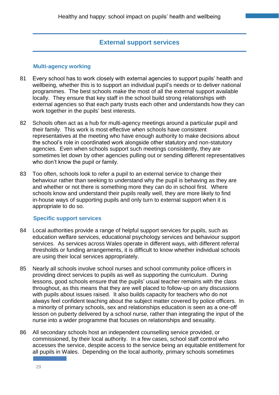## **External support services**

#### **Multi-agency working**

- 81 Every school has to work closely with external agencies to support pupils' health and wellbeing, whether this is to support an individual pupil's needs or to deliver national programmes. The best schools make the most of all the external support available locally. They ensure that key staff in the school build strong relationships with external agencies so that each party trusts each other and understands how they can work together in the pupils' best interests.
- 82 Schools often act as a hub for multi-agency meetings around a particular pupil and their family. This work is most effective when schools have consistent representatives at the meeting who have enough authority to make decisions about the school's role in coordinated work alongside other statutory and non-statutory agencies. Even when schools support such meetings consistently, they are sometimes let down by other agencies pulling out or sending different representatives who don't know the pupil or family.
- 83 Too often, schools look to refer a pupil to an external service to change their behaviour rather than seeking to understand why the pupil is behaving as they are and whether or not there is something more they can do in school first. Where schools know and understand their pupils really well, they are more likely to find in-house ways of supporting pupils and only turn to external support when it is appropriate to do so.

#### **Specific support services**

- 84 Local authorities provide a range of helpful support services for pupils, such as education welfare services, educational psychology services and behaviour support services. As services across Wales operate in different ways, with different referral thresholds or funding arrangements, it is difficult to know whether individual schools are using their local services appropriately.
- 85 Nearly all schools involve school nurses and school community police officers in providing direct services to pupils as well as supporting the curriculum. During lessons, good schools ensure that the pupils' usual teacher remains with the class throughout, as this means that they are well placed to follow-up on any discussions with pupils about issues raised. It also builds capacity for teachers who do not always feel confident teaching about the subject matter covered by police officers. In a minority of primary schools, sex and relationships education is seen as a one-off lesson on puberty delivered by a school nurse, rather than integrating the input of the nurse into a wider programme that focuses on relationships and sexuality.
- 86 All secondary schools host an independent counselling service provided, or commissioned, by their local authority. In a few cases, school staff control who accesses the service, despite access to the service being an equitable entitlement for all pupils in Wales. Depending on the local authority, primary schools sometimes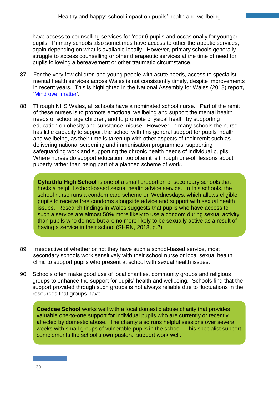have access to counselling services for Year 6 pupils and occasionally for younger pupils. Primary schools also sometimes have access to other therapeutic services, again depending on what is available locally. However, primary schools generally struggle to access counselling or other therapeutic services at the time of need for pupils following a bereavement or other traumatic circumstance.

- 87 For the very few children and young people with acute needs, access to specialist mental health services across Wales is not consistently timely, despite improvements in recent years. This is highlighted in the National Assembly for Wales (2018) report, ['Mind over matter'](https://www.assembly.wales/laid%20documents/cr-ld11522/cr-ld11522-e.pdf).
- 88 Through NHS Wales, all schools have a nominated school nurse. Part of the remit of these nurses is to promote emotional wellbeing and support the mental health needs of school age children, and to promote physical health by supporting education on obesity and substance misuse. However, in many schools the nurse has little capacity to support the school with this general support for pupils' health and wellbeing, as their time is taken up with other aspects of their remit such as delivering national screening and immunisation programmes, supporting safeguarding work and supporting the chronic health needs of individual pupils. Where nurses do support education, too often it is through one-off lessons about puberty rather than being part of a planned scheme of work.

4 **Cyfarthfa High School** is one of a small proportion of secondary schools that hosts a helpful school-based sexual health advice service. In this schools, the school nurse runs a condom card scheme on Wednesdays, which allows eligible pupils to receive free condoms alongside advice and support with sexual health issues. Research findings in Wales suggests that pupils who have access to such a service are almost 50% more likely to use a condom during sexual activity than pupils who do not, but are no more likely to be sexually active as a result of having a service in their school (SHRN, 2018, p.2).

- 89 Irrespective of whether or not they have such a school-based service, most secondary schools work sensitively with their school nurse or local sexual health clinic to support pupils who present at school with sexual health issues.
- 90 Schools often make good use of local charities, community groups and religious groups to enhance the support for pupils' health and wellbeing. Schools find that the support provided through such groups is not always reliable due to fluctuations in the resources that groups have.

5 **Coedcae School** works well with a local domestic abuse charity that provides valuable one-to-one support for individual pupils who are currently or recently affected by domestic abuse. The charity also runs helpful sessions over several weeks with small groups of vulnerable pupils in the school. This specialist support complements the school's own pastoral support work well.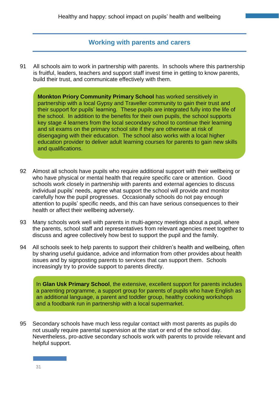## **Working with parents and carers**

91 All schools aim to work in partnership with parents. In schools where this partnership is fruitful, leaders, teachers and support staff invest time in getting to know parents, build their trust, and communicate effectively with them.

**Monkton Priory Community Primary School** has worked sensitively in partnership with a local Gypsy and Traveller community to gain their trust and their support for pupils' learning. These pupils are integrated fully into the life of the school. In addition to the benefits for their own pupils, the school supports key stage 4 learners from the local secondary school to continue their learning and sit exams on the primary school site if they are otherwise at risk of disengaging with their education. The school also works with a local higher education provider to deliver adult learning courses for parents to gain new skills and qualifications.

- 92 Almost all schools have pupils who require additional support with their wellbeing or who have physical or mental health that require specific care or attention. Good schools work closely in partnership with parents and external agencies to discuss individual pupils' needs, agree what support the school will provide and monitor carefully how the pupil progresses. Occasionally schools do not pay enough attention to pupils' specific needs, and this can have serious consequences to their health or affect their wellbeing adversely.
- 93 Many schools work well with parents in multi-agency meetings about a pupil, where the parents, school staff and representatives from relevant agencies meet together to discuss and agree collectively how best to support the pupil and the family.
- 94 All schools seek to help parents to support their children's health and wellbeing, often by sharing useful guidance, advice and information from other provides about health issues and by signposting parents to services that can support them. Schools increasingly try to provide support to parents directly.

7 In **Glan Usk Primary School**, the extensive, excellent support for parents includes a parenting programme, a support group for parents of pupils who have English as an additional language, a parent and toddler group, healthy cooking workshops and a foodbank run in partnership with a local supermarket.

95 Secondary schools have much less regular contact with most parents as pupils do not usually require parental supervision at the start or end of the school day. Nevertheless, pro-active secondary schools work with parents to provide relevant and helpful support.

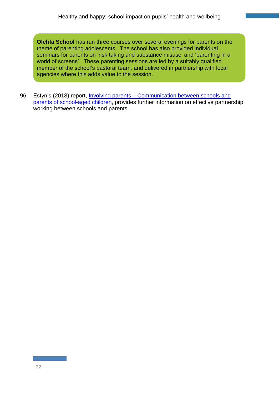**Olchfa School** has run three courses over several evenings for parents on the theme of parenting adolescents. The school has also provided individual seminars for parents on 'risk taking and substance misuse' and 'parenting in a world of screens'. These parenting sessions are led by a suitably qualified member of the school's pastoral team, and delivered in partnership with local agencies where this adds value to the session.

96 Estyn's (2018) report, *Involving parents – Communication between schools and* [parents of school-aged children,](https://www.estyn.gov.wales/thematic-reports/involving-parents-communication-between-schools-and-parents-school-aged-children) provides further information on effective partnership working between schools and parents.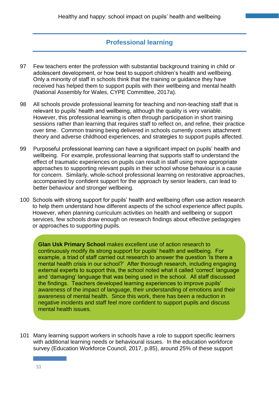# **Professional learning**

- 97 Few teachers enter the profession with substantial background training in child or adolescent development, or how best to support children's health and wellbeing. Only a minority of staff in schools think that the training or guidance they have received has helped them to support pupils with their wellbeing and mental health (National Assembly for Wales, CYPE Committee, 2017a).
- 98 All schools provide professional learning for teaching and non-teaching staff that is relevant to pupils' health and wellbeing, although the quality is very variable. However, this professional learning is often through participation in short training sessions rather than learning that requires staff to reflect on, and refine, their practice over time. Common training being delivered in schools currently covers attachment theory and adverse childhood experiences, and strategies to support pupils affected.
- 99 Purposeful professional learning can have a significant impact on pupils' health and wellbeing. For example, professional learning that supports staff to understand the effect of traumatic experiences on pupils can result in staff using more appropriate approaches to supporting relevant pupils in their school whose behaviour is a cause for concern. Similarly, whole-school professional learning on restorative approaches, accompanied by confident support for the approach by senior leaders, can lead to better behaviour and stronger wellbeing.
- 100 Schools with strong support for pupils' health and wellbeing often use action research to help them understand how different aspects of the school experience affect pupils. However, when planning curriculum activities on health and wellbeing or support services, few schools draw enough on research findings about effective pedagogies or approaches to supporting pupils.

**Glan Usk Primary School** makes excellent use of action research to continuously modify its strong support for pupils' health and wellbeing. For example, a triad of staff carried out research to answer the question 'Is there a mental health crisis in our school?' After thorough research, including engaging external experts to support this, the school noted what it called 'correct' language and 'damaging' language that was being used in the school. All staff discussed the findings. Teachers developed learning experiences to improve pupils' awareness of the impact of language, their understanding of emotions and their awareness of mental health. Since this work, there has been a reduction in negative incidents and staff feel more confident to support pupils and discuss mental health issues.

101 Many learning support workers in schools have a role to support specific learners with additional learning needs or behavioural issues. In the education workforce survey (Education Workforce Council, 2017, p.85), around 25% of these support

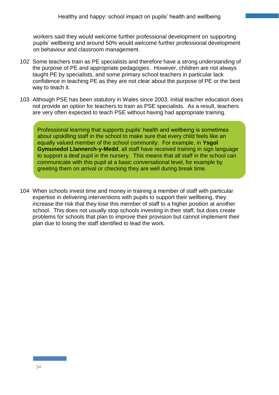workers said they would welcome further professional development on supporting pupils' wellbeing and around 50% would welcome further professional development on behaviour and classroom management.

- 102 Some teachers train as PE specialists and therefore have a strong understanding of the purpose of PE and appropriate pedagogies. However, children are not always taught PE by specialists, and some primary school teachers in particular lack confidence in teaching PE as they are not clear about the purpose of PE or the best way to teach it.
- 103 Although PSE has been statutory in Wales since 2003, initial teacher education does not provide an option for teachers to train as PSE specialists. As a result, teachers are very often expected to teach PSE without having had appropriate training.

Professional learning that supports pupils' health and wellbeing is sometimes about upskilling staff in the school to make sure that every child feels like an equally valued member of the school community. For example, in **Ysgol Gymunedol Llannerch-y-Medd**, all staff have received training in sign language to support a deaf pupil in the nursery. This means that all staff in the school can communicate with this pupil at a basic conversational level, for example by greeting them on arrival or checking they are well during break time.

104 When schools invest time and money in training a member of staff with particular expertise in delivering interventions with pupils to support their wellbeing, they increase the risk that they lose this member of staff to a higher position at another school. This does not usually stop schools investing in their staff, but does create problems for schools that plan to improve their provision but cannot implement their plan due to losing the staff identified to lead the work.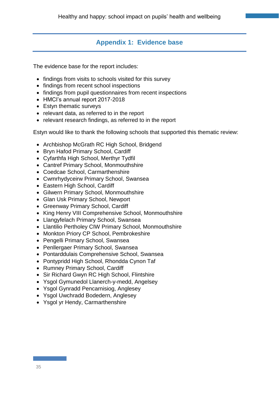# **Appendix 1: Evidence base**

The evidence base for the report includes:

- findings from visits to schools visited for this survey
- findings from recent school inspections
- findings from pupil questionnaires from recent inspections
- HMCI's annual report 2017-2018
- Estyn thematic surveys
- relevant data, as referred to in the report
- relevant research findings, as referred to in the report

Estyn would like to thank the following schools that supported this thematic review:

- Archbishop McGrath RC High School, Bridgend
- Bryn Hafod Primary School, Cardiff
- Cyfarthfa High School, Merthyr Tydfil
- Cantref Primary School, Monmouthshire
- Coedcae School, Carmarthenshire
- Cwmrhydyceirw Primary School, Swansea
- Eastern High School, Cardiff
- Gilwern Primary School, Monmouthshire
- Glan Usk Primary School, Newport
- Greenway Primary School, Cardiff
- King Henry VIII Comprehensive School, Monmouthshire
- Llangyfelach Primary School, Swansea
- Llantilio Pertholey CIW Primary School, Monmouthshire
- Monkton Priory CP School, Pembrokeshire
- Pengelli Primary School, Swansea
- Penllergaer Primary School, Swansea
- Pontarddulais Comprehensive School, Swansea
- Pontypridd High School, Rhondda Cynon Taf
- Rumney Primary School, Cardiff
- Sir Richard Gwyn RC High School, Flintshire
- Ysgol Gymunedol Llanerch-y-medd, Angelsey
- Ysgol Gynradd Pencarnisiog, Anglesey
- Ysgol Uwchradd Bodedern, Anglesey
- Ysgol yr Hendy, Carmarthenshire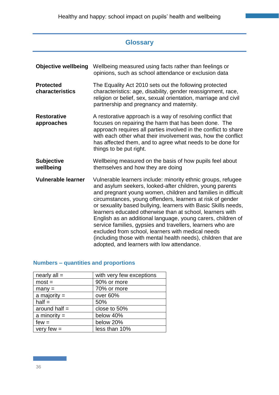# **Glossary**

| <b>Objective wellbeing</b>          | Wellbeing measured using facts rather than feelings or<br>opinions, such as school attendance or exclusion data                                                                                                                                                                                                                                                                                                                                                                                                                                                                                                                                                                         |
|-------------------------------------|-----------------------------------------------------------------------------------------------------------------------------------------------------------------------------------------------------------------------------------------------------------------------------------------------------------------------------------------------------------------------------------------------------------------------------------------------------------------------------------------------------------------------------------------------------------------------------------------------------------------------------------------------------------------------------------------|
| <b>Protected</b><br>characteristics | The Equality Act 2010 sets out the following protected<br>characteristics: age, disability, gender reassignment, race,<br>religion or belief, sex, sexual orientation, marriage and civil<br>partnership and pregnancy and maternity.                                                                                                                                                                                                                                                                                                                                                                                                                                                   |
| <b>Restorative</b><br>approaches    | A restorative approach is a way of resolving conflict that<br>focuses on repairing the harm that has been done. The<br>approach requires all parties involved in the conflict to share<br>with each other what their involvement was, how the conflict<br>has affected them, and to agree what needs to be done for<br>things to be put right.                                                                                                                                                                                                                                                                                                                                          |
| <b>Subjective</b><br>wellbeing      | Wellbeing measured on the basis of how pupils feel about<br>themselves and how they are doing                                                                                                                                                                                                                                                                                                                                                                                                                                                                                                                                                                                           |
| <b>Vulnerable learner</b>           | Vulnerable learners include: minority ethnic groups, refugee<br>and asylum seekers, looked-after children, young parents<br>and pregnant young women, children and families in difficult<br>circumstances, young offenders, learners at risk of gender<br>or sexuality based bullying, learners with Basic Skills needs,<br>learners educated otherwise than at school, learners with<br>English as an additional language, young carers, children of<br>service families, gypsies and travellers, learners who are<br>excluded from school, learners with medical needs<br>(including those with mental health needs), children that are<br>adopted, and learners with low attendance. |

# **Numbers – quantities and proportions**

| nearly $all =$  | with very few exceptions |
|-----------------|--------------------------|
| $most =$        | 90% or more              |
| $many =$        | 70% or more              |
| a majority $=$  | over 60%                 |
| $half =$        | 50%                      |
| around half $=$ | close to 50%             |
| a minority $=$  | below 40%                |
| $few =$         | below 20%                |
| very few $=$    | less than 10%            |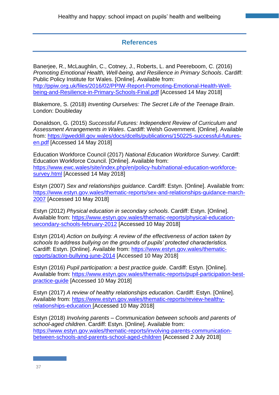# **References**

Banerjee, R., McLaughlin, C., Cotney, J., Roberts, L. and Peereboom, C. (2016) *Promoting Emotional Health, Well-being, and Resilience in Primary Schools*. Cardiff: Public Policy Institute for Wales. [Online]. Available from: [http://ppiw.org.uk/files/2016/02/PPIW-Report-Promoting-Emotional-Health-Well](http://ppiw.org.uk/files/2016/02/PPIW-Report-Promoting-Emotional-Health-Well-being-and-Resilience-in-Primary-Schools-Final.pdf)[being-and-Resilience-in-Primary-Schools-Final.pdf](http://ppiw.org.uk/files/2016/02/PPIW-Report-Promoting-Emotional-Health-Well-being-and-Resilience-in-Primary-Schools-Final.pdf) [Accessed 14 May 2018]

Blakemore, S. (2018) *Inventing Ourselves: The Secret Life of the Teenage Brain*. London: Doubleday

Donaldson, G. (2015) *Successful Futures: Independent Review of Curriculum and Assessment Arrangements in Wales*. Cardiff: Welsh Government. [Online]. Available from: [https://gweddill.gov.wales/docs/dcells/publications/150225-successful-futures](https://gweddill.gov.wales/docs/dcells/publications/150225-successful-futures-en.pdf)[en.pdf](https://gweddill.gov.wales/docs/dcells/publications/150225-successful-futures-en.pdf) [Accessed 14 May 2018]

Education Workforce Council (2017) *National Education Workforce Survey.* Cardiff: Education Workforce Council. [Online]. Available from: [https://www.ewc.wales/site/index.php/en/policy-hub/national-education-workforce](https://www.ewc.wales/site/index.php/en/policy-hub/national-education-workforce-survey.html)[survey.html](https://www.ewc.wales/site/index.php/en/policy-hub/national-education-workforce-survey.html) [Accessed 14 May 2018]

Estyn (2007) *Sex and relationships guidance*. Cardiff: Estyn. [Online]. Available from: [https://www.estyn.gov.wales/thematic-reports/sex-and-relationships-guidance-march-](https://www.estyn.gov.wales/thematic-reports/sex-and-relationships-guidance-march-2007)[2007](https://www.estyn.gov.wales/thematic-reports/sex-and-relationships-guidance-march-2007) [Accessed 10 May 2018]

Estyn (2012) *Physical education in secondary schools*. Cardiff: Estyn. [Online]. Available from: [https://www.estyn.gov.wales/thematic-reports/physical-education](https://www.estyn.gov.wales/thematic-reports/physical-education-secondary-schools-february-2012)[secondary-schools-february-2012](https://www.estyn.gov.wales/thematic-reports/physical-education-secondary-schools-february-2012) [Accessed 10 May 2018]

Estyn (2014) *Action on bullying: A review of the effectiveness of action taken by schools to address bullying on the grounds of pupils' protected characteristics.*  Cardiff: Estyn. [Online]. Available from: [https://www.estyn.gov.wales/thematic](https://www.estyn.gov.wales/thematic-reports/action-bullying-june-2014)[reports/action-bullying-june-2014](https://www.estyn.gov.wales/thematic-reports/action-bullying-june-2014) [Accessed 10 May 2018]

Estyn (2016) *Pupil participation: a best practice guide*. Cardiff: Estyn. [Online]. Available from: [https://www.estyn.gov.wales/thematic-reports/pupil-participation-best](https://www.estyn.gov.wales/thematic-reports/pupil-participation-best-practice-guide)[practice-guide](https://www.estyn.gov.wales/thematic-reports/pupil-participation-best-practice-guide) [Accessed 10 May 2018]

Estyn (2017) *A review of healthy relationships education*. Cardiff: Estyn. [Online]. Available from: [https://www.estyn.gov.wales/thematic-reports/review-healthy](https://www.estyn.gov.wales/thematic-reports/review-healthy-relationships-education)[relationships-education](https://www.estyn.gov.wales/thematic-reports/review-healthy-relationships-education) [Accessed 10 May 2018]

Estyn (2018) *Involving parents – Communication between schools and parents of school-aged children*. Cardiff: Estyn. [Online]. Available from: [https://www.estyn.gov.wales/thematic-reports/involving-parents-communication](https://www.estyn.gov.wales/thematic-reports/involving-parents-communication-between-schools-and-parents-school-aged-children)[between-schools-and-parents-school-aged-children](https://www.estyn.gov.wales/thematic-reports/involving-parents-communication-between-schools-and-parents-school-aged-children) [Accessed 2 July 2018]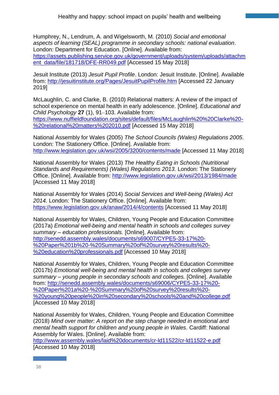Humphrey, N., Lendrum, A. and Wigelsworth, M. (2010) *Social and emotional aspects of learning (SEAL) programme in secondary schools: national evaluation*. London: Department for Education. [Online]. Available from: [https://assets.publishing.service.gov.uk/government/uploads/system/uploads/attachm](https://assets.publishing.service.gov.uk/government/uploads/system/uploads/attachment_data/file/181718/DFE-RR049.pdf) [ent\\_data/file/181718/DFE-RR049.pdf](https://assets.publishing.service.gov.uk/government/uploads/system/uploads/attachment_data/file/181718/DFE-RR049.pdf) [Accessed 15 May 2018]

Jesuit Institute (2013) *Jesuit Pupil Profile*. London: Jesuit Institute. [Online]. Available from:<http://jesuitinstitute.org/Pages/JesuitPupilProfile.htm> [Accessed 22 January 2019]

McLaughlin, C. and Clarke, B. (2010) Relational matters: A review of the impact of school experience on mental health in early adolescence. [Online]. *Educational and Child Psychology* **27** (1), 91–103. Available from: [https://www.nuffieldfoundation.org/sites/default/files/McLaughlin%20%20Clarke%20-](https://www.nuffieldfoundation.org/sites/default/files/McLaughlin%20%20Clarke%20-%20relational%20matters%202010.pdf) [%20relational%20matters%202010.pdf](https://www.nuffieldfoundation.org/sites/default/files/McLaughlin%20%20Clarke%20-%20relational%20matters%202010.pdf) [Accessed 15 May 2018]

National Assembly for Wales (2005) *The School Councils (Wales) Regulations 2005*. London: The Stationery Office. [Online]. Available from: <http://www.legislation.gov.uk/wsi/2005/3200/contents/made> [Accessed 11 May 2018]

National Assembly for Wales (2013) *The Healthy Eating in Schools (Nutritional Standards and Requirements) (Wales) Regulations 2013.* London: The Stationery Office. [Online]. Available from: <http://www.legislation.gov.uk/wsi/2013/1984/made> [Accessed 11 May 2018]

National Assembly for Wales (2014) *Social Services and Well-being (Wales) Act 2014.* London: The Stationery Office. [Online]. Available from: <https://www.legislation.gov.uk/anaw/2014/4/contents> [Accessed 11 May 2018]

National Assembly for Wales, Children, Young People and Education Committee (2017a) *Emotional well-being and mental health in schools and colleges survey summary – education professionals.* [Online]. Available from: [http://senedd.assembly.wales/documents/s69007/CYPE5-33-17%20-](http://senedd.assembly.wales/documents/s69007/CYPE5-33-17%20-%20Paper%201b%20-%20Summary%20of%20survey%20results%20-%20education%20professionals.pdf) [%20Paper%201b%20-%20Summary%20of%20survey%20results%20-](http://senedd.assembly.wales/documents/s69007/CYPE5-33-17%20-%20Paper%201b%20-%20Summary%20of%20survey%20results%20-%20education%20professionals.pdf) [%20education%20professionals.pdf](http://senedd.assembly.wales/documents/s69007/CYPE5-33-17%20-%20Paper%201b%20-%20Summary%20of%20survey%20results%20-%20education%20professionals.pdf) [Accessed 10 May 2018]

National Assembly for Wales, Children, Young People and Education Committee (2017b) *Emotional well-being and mental health in schools and colleges survey summary – young people in secondary schools and colleges.* [Online]. Available from: [http://senedd.assembly.wales/documents/s69006/CYPE5-33-17%20-](http://senedd.assembly.wales/documents/s69006/CYPE5-33-17%20-%20Paper%201a%20-%20Summary%20of%20survey%20results%20-%20young%20people%20in%20secondary%20schools%20and%20college.pdf) [%20Paper%201a%20-%20Summary%20of%20survey%20results%20-](http://senedd.assembly.wales/documents/s69006/CYPE5-33-17%20-%20Paper%201a%20-%20Summary%20of%20survey%20results%20-%20young%20people%20in%20secondary%20schools%20and%20college.pdf) [%20young%20people%20in%20secondary%20schools%20and%20college.pdf](http://senedd.assembly.wales/documents/s69006/CYPE5-33-17%20-%20Paper%201a%20-%20Summary%20of%20survey%20results%20-%20young%20people%20in%20secondary%20schools%20and%20college.pdf) [Accessed 10 May 2018]

National Assembly for Wales, Children, Young People and Education Committee (2018) *Mind over matter: A report on the step change needed in emotional and mental health support for children and young people in Wales*. Cardiff: National Assembly for Wales. [Online]. Available from:

<http://www.assembly.wales/laid%20documents/cr-ld11522/cr-ld11522-e.pdf> [Accessed 10 May 2018]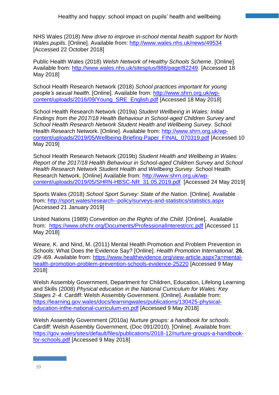NHS Wales (2018) *New drive to improve in-school mental health support for North Wales pupils*. [Online]. Available from:<http://www.wales.nhs.uk/news/49534> [Accessed 22 October 2018]

Public Health Wales (2018) *Welsh Network of Healthy Schools Scheme*. [Online]. Available from: [http://www.wales.nhs.uk/sitesplus/888/page/82249.](http://www.wales.nhs.uk/sitesplus/888/page/82249) [Accessed 18 May 2018]

School Health Research Network (2018) *School practices important for young people's sexual health*. [Online]. Available from: [http://www.shrn.org.uk/wp](http://www.shrn.org.uk/wp-content/uploads/2016/09/Young_SRE_English.pdf)[content/uploads/2016/09/Young\\_SRE\\_English.pdf](http://www.shrn.org.uk/wp-content/uploads/2016/09/Young_SRE_English.pdf) [Accessed 18 May 2018]

School Health Research Network (2019a) *Student Wellbeing in Wales: Initial Findings from the 2017/18 Health Behaviour in School-aged Children Survey and School Health Research Network Student Health and Wellbeing Survey*. School Health Research Network. [Online]. Available from: [http://www.shrn.org.uk/wp](http://www.shrn.org.uk/wp-content/uploads/2019/05/Wellbeing-Briefing-Paper_FINAL_070319.pdf)[content/uploads/2019/05/Wellbeing-Briefing-Paper\\_FINAL\\_070319.pdf](http://www.shrn.org.uk/wp-content/uploads/2019/05/Wellbeing-Briefing-Paper_FINAL_070319.pdf) [Accessed 10 May 2019]

School Health Research Network (2019b) *Student Health and Wellbeing in Wales: Report of the 2017/18 Health Behaviour in School-aged Children Survey and School Health Research Network Student Health and Wellbeing Survey*. School Health Research Network. [Online] Available from: [http://www.shrn.org.uk/wp](http://www.shrn.org.uk/wp-content/uploads/2019/05/SHRN-HBSC-NR_31.05.2019.pdf)[content/uploads/2019/05/SHRN-HBSC-NR\\_31.05.2019.pdf](http://www.shrn.org.uk/wp-content/uploads/2019/05/SHRN-HBSC-NR_31.05.2019.pdf) [Accessed 24 May 2019]

Sports Wales (2018) *School Sport Survey: State of the Nation*. [Online]. Available from:<http://sport.wales/research--policy/surveys-and-statistics/statistics.aspx> [Accessed 21 January 2019]

United Nations (1989) *Convention on the Rights of the Child*. [Online]. Available from: <https://www.ohchr.org/Documents/ProfessionalInterest/crc.pdf> [Accessed 11 May 2018]

Weare, K. and Nind, M. (2011) Mental Health Promotion and Problem Prevention in Schools: What Does the Evidence Say? [Online]. *Health Promotion International*, **26**, i29–i69. Available from: [https://www.healthevidence.org/view-article.aspx?a=mental](https://www.healthevidence.org/view-article.aspx?a=mental-health-promotion-problem-prevention-schools-evidence-25220)[health-promotion-problem-prevention-schools-evidence-25220](https://www.healthevidence.org/view-article.aspx?a=mental-health-promotion-problem-prevention-schools-evidence-25220) [Accessed 9 May 2018]

Welsh Assembly Government, Department for Children, Education, Lifelong Learning and Skills (2008) *Physical education in the National Curriculum for Wales: Key Stages 2*–*4*. Cardiff: Welsh Assembly Government. [Online]. Available from: [https://learning.gov.wales/docs/learningwales/publications/130425-physical](https://learning.gov.wales/docs/learningwales/publications/130425-physical-education-inthe-national-curriculum-en.pdf)[education-inthe-national-curriculum-en.pdf](https://learning.gov.wales/docs/learningwales/publications/130425-physical-education-inthe-national-curriculum-en.pdf) [Accessed 9 May 2018]

Welsh Assembly Government (2010a) *Nurture groups: a handbook for schools*. Cardiff: Welsh Assembly Government, (Doc 091/2010). [Online]. Available from: [https://gov.wales/sites/default/files/publications/2018-12/nurture-groups-a-handbook](https://gov.wales/sites/default/files/publications/2018-12/nurture-groups-a-handbook-for-schools.pdf)[for-schools.pdf](https://gov.wales/sites/default/files/publications/2018-12/nurture-groups-a-handbook-for-schools.pdf) [Accessed 9 May 2018]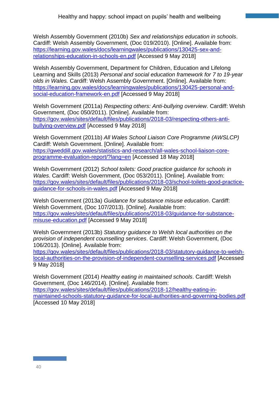Welsh Assembly Government (2010b) *Sex and relationships education in schools*. Cardiff: Welsh Assembly Government, (Doc 019/2010). [Online]. Available from: [https://learning.gov.wales/docs/learningwales/publications/130425-sex-and](https://learning.gov.wales/docs/learningwales/publications/130425-sex-and-relationships-education-in-schools-en.pdf)[relationships-education-in-schools-en.pdf](https://learning.gov.wales/docs/learningwales/publications/130425-sex-and-relationships-education-in-schools-en.pdf) [Accessed 9 May 2018]

Welsh Assembly Government, Department for Children, Education and Lifelong Learning and Skills (2013) *Personal and social education framework for 7 to 19-year olds in Wales.* Cardiff: Welsh Assembly Government. [Online]. Available from: [https://learning.gov.wales/docs/learningwales/publications/130425-personal-and](https://learning.gov.wales/docs/learningwales/publications/130425-personal-and-social-education-framework-en.pdf)[social-education-framework-en.pdf](https://learning.gov.wales/docs/learningwales/publications/130425-personal-and-social-education-framework-en.pdf) [Accessed 9 May 2018]

Welsh Government (2011a) *Respecting others: Anti-bullying overview*. Cardiff: Welsh Government, (Doc 050/2011). [Online]. Available from: [https://gov.wales/sites/default/files/publications/2018-03/respecting-others-anti](https://gov.wales/sites/default/files/publications/2018-03/respecting-others-anti-bullying-overview.pdf)[bullying-overview.pdf](https://gov.wales/sites/default/files/publications/2018-03/respecting-others-anti-bullying-overview.pdf) [Accessed 9 May 2018]

Welsh Government (2011b) *All Wales School Liaison Core Programme (AWSLCP)*  Cardiff: Welsh Government. [Online]. Available from: [https://gweddill.gov.wales/statistics-and-research/all-wales-school-liaison-core](https://gweddill.gov.wales/statistics-and-research/all-wales-school-liaison-core-programme-evaluation-report/?lang=en)[programme-evaluation-report/?lang=en](https://gweddill.gov.wales/statistics-and-research/all-wales-school-liaison-core-programme-evaluation-report/?lang=en) [Accessed 18 May 2018]

Welsh Government (2012) *School toilets: Good practice guidance for schools in Wales*. Cardiff: Welsh Government, (Doc 053/2011). [Online]. Available from: [https://gov.wales/sites/default/files/publications/2018-03/school-toilets-good-practice](https://gov.wales/sites/default/files/publications/2018-03/school-toilets-good-practice-guidance-for-schools-in-wales.pdf)[guidance-for-schools-in-wales.pdf](https://gov.wales/sites/default/files/publications/2018-03/school-toilets-good-practice-guidance-for-schools-in-wales.pdf) [Accessed 9 May 2018]

Welsh Government (2013a) *Guidance for substance misuse education*. Cardiff: Welsh Government, (Doc 107/2013). [Online]. Available from: [https://gov.wales/sites/default/files/publications/2018-03/guidance-for-substance](https://gov.wales/sites/default/files/publications/2018-03/guidance-for-substance-misuse-education.pdf)[misuse-education.pdf](https://gov.wales/sites/default/files/publications/2018-03/guidance-for-substance-misuse-education.pdf) [Accessed 9 May 2018]

Welsh Government (2013b) *Statutory guidance to Welsh local authorities on the provision of independent counselling services*. Cardiff: Welsh Government, (Doc 106/2013). [Online]. Available from:

[https://gov.wales/sites/default/files/publications/2018-03/statutory-guidance-to-welsh](https://gov.wales/sites/default/files/publications/2018-03/statutory-guidance-to-welsh-local-authorities-on-the-provision-of-independent-counselling-services.pdf)[local-authorities-on-the-provision-of-independent-counselling-services.pdf](https://gov.wales/sites/default/files/publications/2018-03/statutory-guidance-to-welsh-local-authorities-on-the-provision-of-independent-counselling-services.pdf) [Accessed 9 May 2018]

Welsh Government (2014) *Healthy eating in maintained schools*. Cardiff: Welsh Government, (Doc 146/2014). [Online]. Available from: [https://gov.wales/sites/default/files/publications/2018-12/healthy-eating-in](https://gov.wales/sites/default/files/publications/2018-12/healthy-eating-in-maintained-schools-statutory-guidance-for-local-authorities-and-governing-bodies.pdf)[maintained-schools-statutory-guidance-for-local-authorities-and-governing-bodies.pdf](https://gov.wales/sites/default/files/publications/2018-12/healthy-eating-in-maintained-schools-statutory-guidance-for-local-authorities-and-governing-bodies.pdf) [Accessed 10 May 2018]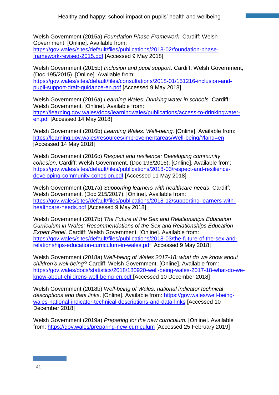Welsh Government (2015a) *Foundation Phase Framework*. Cardiff: Welsh Government. [Online]. Available from: [https://gov.wales/sites/default/files/publications/2018-02/foundation-phase](https://gov.wales/sites/default/files/publications/2018-02/foundation-phase-framework-revised-2015.pdf)[framework-revised-2015.pdf](https://gov.wales/sites/default/files/publications/2018-02/foundation-phase-framework-revised-2015.pdf) [Accessed 9 May 2018]

Welsh Government (2015b) *Inclusion and pupil support*. Cardiff: Welsh Government, (Doc 195/2015). [Online]. Available from: [https://gov.wales/sites/default/files/consultations/2018-01/151216-inclusion-and](https://gov.wales/sites/default/files/consultations/2018-01/151216-inclusion-and-pupil-support-draft-guidance-en.pdf)[pupil-support-draft-guidance-en.pdf](https://gov.wales/sites/default/files/consultations/2018-01/151216-inclusion-and-pupil-support-draft-guidance-en.pdf) [Accessed 9 May 2018]

Welsh Government (2016a) *Learning Wales: Drinking water in schools.* Cardiff: Welsh Government. [Online]. Available from: [https://learning.gov.wales/docs/learningwales/publications/access-to-drinkingwater](https://learning.gov.wales/docs/learningwales/publications/access-to-drinkingwater-en.pdf)[en.pdf](https://learning.gov.wales/docs/learningwales/publications/access-to-drinkingwater-en.pdf) [Accessed 14 May 2018]

Welsh Government (2016b) *Learning Wales: Well-being.* [Online]. Available from: <https://learning.gov.wales/resources/improvementareas/Well-being/?lang=en> [Accessed 14 May 2018]

Welsh Government (2016c) *Respect and resilience: Developing community cohesion*. Cardiff: Welsh Government, (Doc 196/2016). [Online]. Available from: [https://gov.wales/sites/default/files/publications/2018-03/respect-and-resilience](https://gov.wales/sites/default/files/publications/2018-03/respect-and-resilience-developing-community-cohesion.pdf)[developing-community-cohesion.pdf](https://gov.wales/sites/default/files/publications/2018-03/respect-and-resilience-developing-community-cohesion.pdf) [Accessed 11 May 2018]

Welsh Government (2017a) *Supporting learners with healthcare needs*. Cardiff: Welsh Government, (Doc 215/2017). [Online]. Available from: [https://gov.wales/sites/default/files/publications/2018-12/supporting-learners-with](https://gov.wales/sites/default/files/publications/2018-12/supporting-learners-with-healthcare-needs.pdf)[healthcare-needs.pdf](https://gov.wales/sites/default/files/publications/2018-12/supporting-learners-with-healthcare-needs.pdf) [Accessed 9 May 2018]

Welsh Government (2017b) *The Future of the Sex and Relationships Education Curriculum in Wales: Recommendations of the Sex and Relationships Education Expert Panel*. Cardiff: Welsh Government. [Online]. Available from: [https://gov.wales/sites/default/files/publications/2018-03/the-future-of-the-sex-and](https://gov.wales/sites/default/files/publications/2018-03/the-future-of-the-sex-and-relationships-education-curriculum-in-wales.pdf)[relationships-education-curriculum-in-wales.pdf](https://gov.wales/sites/default/files/publications/2018-03/the-future-of-the-sex-and-relationships-education-curriculum-in-wales.pdf) [Accessed 9 May 2018]

Welsh Government (2018a) *Well-being of Wales 2017-18: what do we know about children's well-being?* Cardiff: Welsh Government. [Online]. Available from: [https://gov.wales/docs/statistics/2018/180920-well-being-wales-2017-18-what-do-we](https://gov.wales/docs/statistics/2018/180920-well-being-wales-2017-18-what-do-we-know-about-childrens-well-being-en.pdf)[know-about-childrens-well-being-en.pdf](https://gov.wales/docs/statistics/2018/180920-well-being-wales-2017-18-what-do-we-know-about-childrens-well-being-en.pdf) [Accessed 10 December 2018]

Welsh Government (2018b) *Well-being of Wales: national indicator technical descriptions and data links*. [Online]. Available from: [https://gov.wales/well-being](https://gov.wales/well-being-wales-national-indicator-technical-descriptions-and-data-links)[wales-national-indicator-technical-descriptions-and-data-links](https://gov.wales/well-being-wales-national-indicator-technical-descriptions-and-data-links) [Accessed 10 December 2018]

Welsh Government (2019a) *Preparing for the new curriculum.* [Online]. Available from:<https://gov.wales/preparing-new-curriculum> [Accessed 25 February 2019]